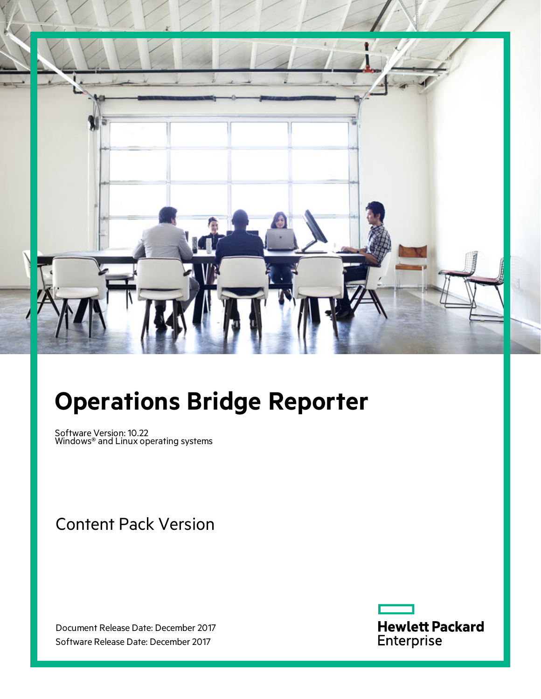

# **Operations Bridge Reporter**

Software Version: 10.22 Windows® and Linux operating systems

Content Pack Version

Document Release Date: December 2017 Software Release Date: December 2017

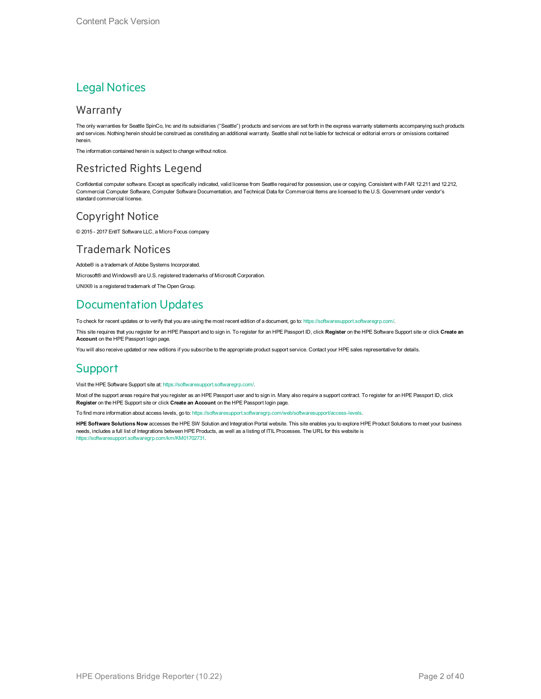## Legal Notices

## **Warranty**

The only warranties for Seattle SpinCo, Inc and its subsidiaries ("Seattle") products and services are set forth in the express warranty statements accompanying such products and services. Nothing herein should be construed as constituting an additional warranty. Seattle shall not be liable for technical or editorial errors or omissions contained herein.

The information contained herein is subject to change without notice.

## Restricted Rights Legend

Confidential computer software. Except as specifically indicated, valid license from Seattle required for possession, use or copying. Consistent with FAR 12.211 and 12.212, Commercial Computer Software, Computer Software Documentation, and Technical Data for Commercial Items are licensed to the U.S. Government under vendor's standard commercial license.

## Copyright Notice

© 2015 - 2017 EntIT Software LLC, a Micro Focus company

## Trademark Notices

Adobe® is a trademark of Adobe Systems Incorporated.

Microsoft® and Windows® are U.S. registered trademarks of Microsoft Corporation.

UNIX® is a registered trademark of The Open Group.

## Documentation Updates

To check for recent updates or to verify that you are using the most recent edition of a document, go to: <https://softwaresupport.softwaregrp.com/>.

This site requires that you register for an HPE Passport and to sign in. To register for an HPE Passport ID, click **Register** on the HPE Software Support site or click **Create an Account** on the HPE Passport login page.

You will also receive updated or new editions if you subscribe to the appropriate product support service. Contact your HPE sales representative for details.

## **Support**

Visit the HPE Software Support site at: <https://softwaresupport.softwaregrp.com/>.

Most of the support areas require that you register as an HPE Passport user and to sign in. Many also require a support contract. To register for an HPE Passport ID, click **Register** on the HPE Support site or click **Create an Account** on the HPE Passport login page.

To find more information about access levels, go to: [https://softwaresupport.softwaregrp.com/web/softwaresupport/access-levels.](https://softwaresupport.softwaregrp.com/web/softwaresupport/access-levels)

**HPE Software Solutions Now** accesses the HPE SW Solution and Integration Portal website. This site enables you to explore HPE Product Solutions to meet your business needs, includes a full list of Integrations between HPE Products, as well as a listing of ITIL Processes. The URL for this website is [https://softwaresupport.softwaregrp.com/km/KM01702731.](https://softwaresupport.softwaregrp.com/km/KM01702731)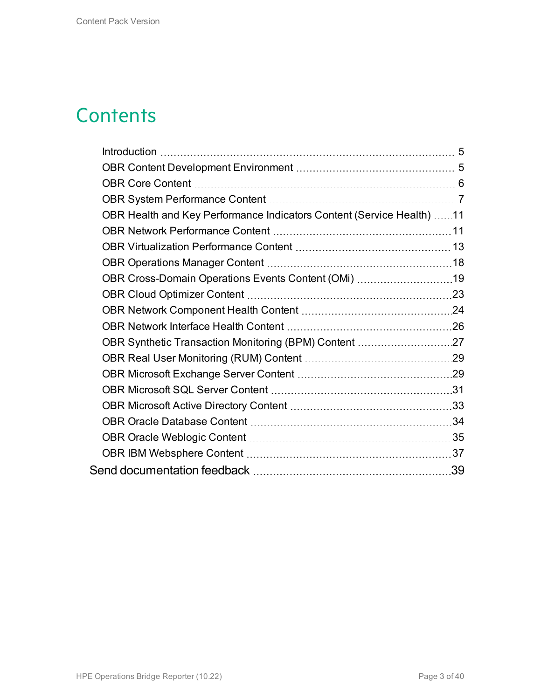## **Contents**

| OBR Health and Key Performance Indicators Content (Service Health) 11 |    |
|-----------------------------------------------------------------------|----|
|                                                                       |    |
|                                                                       |    |
|                                                                       |    |
| OBR Cross-Domain Operations Events Content (OMi) 19                   |    |
|                                                                       |    |
|                                                                       |    |
|                                                                       |    |
|                                                                       |    |
|                                                                       |    |
|                                                                       |    |
|                                                                       |    |
|                                                                       |    |
|                                                                       |    |
|                                                                       |    |
|                                                                       |    |
|                                                                       | 39 |
|                                                                       |    |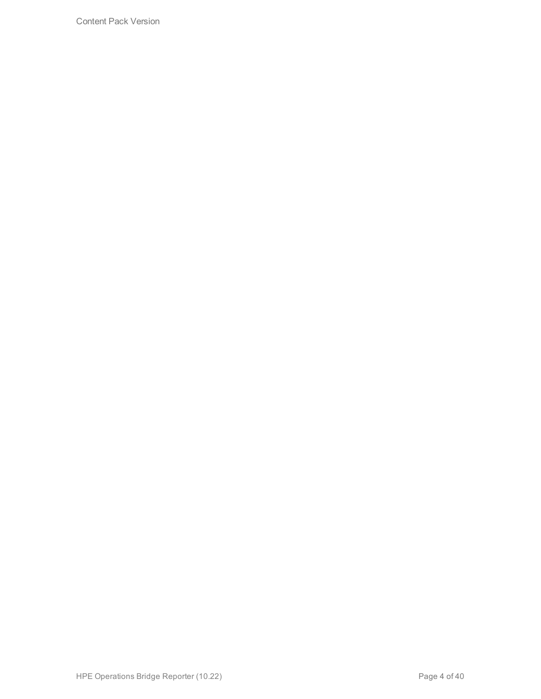Content Pack Version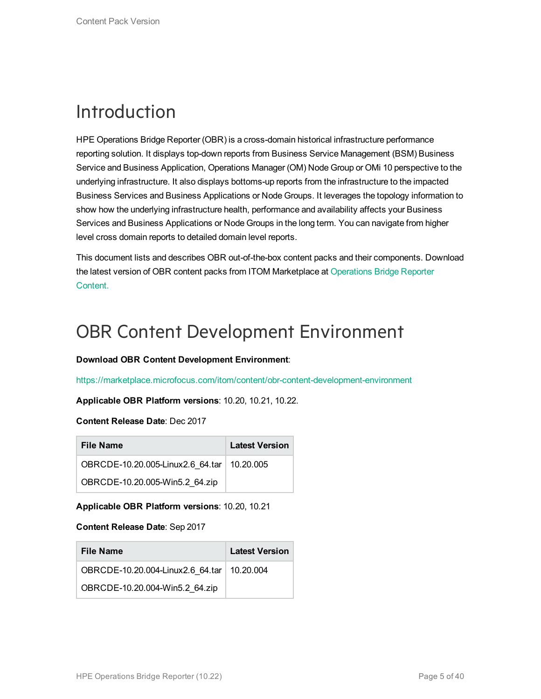## <span id="page-4-0"></span>Introduction

HPE Operations Bridge Reporter (OBR) is a cross-domain historical infrastructure performance reporting solution. It displays top-down reports from Business Service Management (BSM) Business Service and Business Application, Operations Manager (OM) Node Group or OMi 10 perspective to the underlying infrastructure. It also displays bottoms-up reports from the infrastructure to the impacted Business Services and Business Applications or Node Groups. It leverages the topology information to show how the underlying infrastructure health, performance and availability affects your Business Services and Business Applications or Node Groups in the long term. You can navigate from higher level cross domain reports to detailed domain level reports.

This document lists and describes OBR out-of-the-box content packs and their components. Download the latest version of OBR content packs from ITOM Marketplace at [Operations](https://marketplace.microfocus.com/itom/category/all?product=Operations%20Bridge%20Reporter&version=All%20versions&company=All%20companies) Bridge Reporter [Content.](https://marketplace.microfocus.com/itom/category/all?product=Operations%20Bridge%20Reporter&version=All%20versions&company=All%20companies)

## <span id="page-4-1"></span>OBR Content Development Environment

## **Download OBR Content Development Environment**:

<https://marketplace.microfocus.com/itom/content/obr-content-development-environment>

**Applicable OBR Platform versions**: 10.20, 10.21, 10.22.

## **Content Release Date**: Dec 2017

| <b>File Name</b>                             | <b>Latest Version</b> |
|----------------------------------------------|-----------------------|
| OBRCDE-10.20.005-Linux2.6_64.tar   10.20.005 |                       |
| OBRCDE-10.20.005-Win5.2 64.zip               |                       |

**Applicable OBR Platform versions**: 10.20, 10.21

| <b>File Name</b>                             | <b>Latest Version</b> |
|----------------------------------------------|-----------------------|
| OBRCDE-10.20.004-Linux2.6_64.tar   10.20.004 |                       |
| OBRCDE-10.20.004-Win5.2 64.zip               |                       |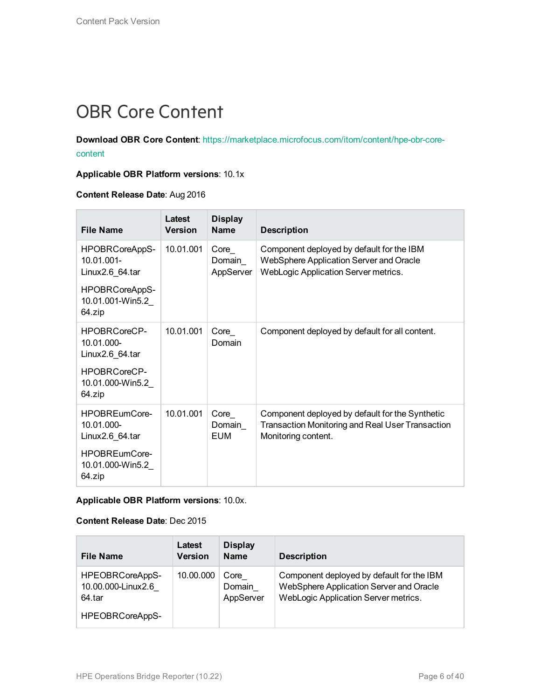## <span id="page-5-0"></span>OBR Core Content

**Download OBR Core Content**: [https://marketplace.microfocus.com/itom/content/hpe-obr-core](https://marketplace.microfocus.com/itom/content/hpe-obr-core-content)[content](https://marketplace.microfocus.com/itom/content/hpe-obr-core-content)

**Applicable OBR Platform versions**: 10.1x

**Content Release Date**: Aug 2016

| <b>File Name</b>                                   | Latest<br><b>Version</b> | <b>Display</b><br><b>Name</b> | <b>Description</b>                                                                                                                |
|----------------------------------------------------|--------------------------|-------------------------------|-----------------------------------------------------------------------------------------------------------------------------------|
| HPOBRCoreAppS-<br>$10.01.001 -$<br>Linux2.6 64.tar | 10.01.001                | Core<br>Domain<br>AppServer   | Component deployed by default for the IBM<br>WebSphere Application Server and Oracle<br>WebLogic Application Server metrics.      |
| HPOBRCoreAppS-<br>10.01.001-Win5.2<br>64.zip       |                          |                               |                                                                                                                                   |
| HPOBRCoreCP-<br>$10.01.000 -$<br>Linux2.6_64.tar   | 10.01.001                | Core<br>Domain                | Component deployed by default for all content.                                                                                    |
| HPOBRCoreCP-<br>10.01.000-Win5.2<br>64.zip         |                          |                               |                                                                                                                                   |
| HPOBREumCore-<br>10.01.000-<br>Linux2.6 64.tar     | 10.01.001                | Core<br>Domain<br>EUM         | Component deployed by default for the Synthetic<br><b>Transaction Monitoring and Real User Transaction</b><br>Monitoring content. |
| HPOBREumCore-<br>10.01.000-Win5.2<br>64.zip        |                          |                               |                                                                                                                                   |

**Applicable OBR Platform versions**: 10.0x.

| <b>File Name</b>                                | Latest<br><b>Version</b> | <b>Display</b><br><b>Name</b> | <b>Description</b>                                                                                                           |
|-------------------------------------------------|--------------------------|-------------------------------|------------------------------------------------------------------------------------------------------------------------------|
| HPEOBRCoreAppS-<br>10.00.000-Linux2.6<br>64.tar | 10.00.000                | Core<br>Domain<br>AppServer   | Component deployed by default for the IBM<br>WebSphere Application Server and Oracle<br>WebLogic Application Server metrics. |
| HPEOBRCoreAppS-                                 |                          |                               |                                                                                                                              |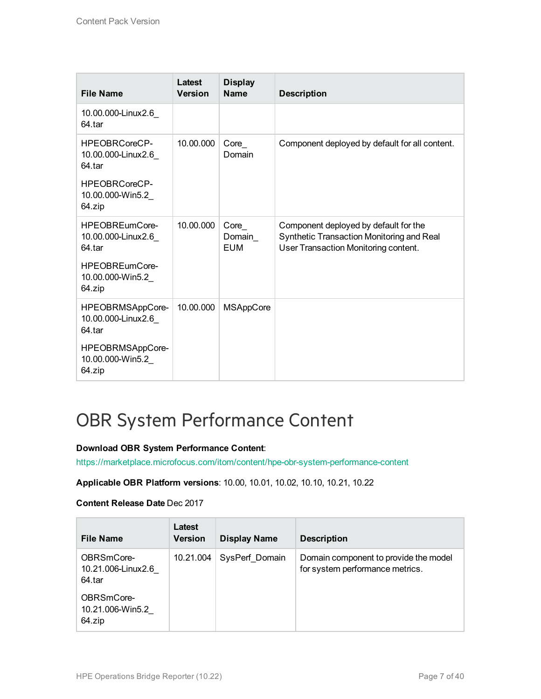| <b>File Name</b>                                                                                   | Latest<br><b>Version</b> | <b>Display</b><br><b>Name</b> | <b>Description</b>                                                                                                         |
|----------------------------------------------------------------------------------------------------|--------------------------|-------------------------------|----------------------------------------------------------------------------------------------------------------------------|
| 10.00.000-Linux2.6<br>64.tar                                                                       |                          |                               |                                                                                                                            |
| HPEOBRCoreCP-<br>10.00.000-Linux2.6<br>64.tar<br>HPEOBRCoreCP-<br>10.00.000-Win5.2<br>64.zip       | 10.00.000                | Core<br>Domain                | Component deployed by default for all content.                                                                             |
| HPEOBREumCore-<br>10.00.000-Linux2.6<br>64 tar<br>HPEOBREumCore-<br>10.00.000-Win5.2<br>64.zip     | 10.00.000                | Core<br>Domain<br><b>EUM</b>  | Component deployed by default for the<br>Synthetic Transaction Monitoring and Real<br>User Transaction Monitoring content. |
| HPEOBRMSAppCore-<br>10.00.000-Linux2.6<br>64.tar<br>HPEOBRMSAppCore-<br>10.00.000-Win5.2<br>64.zip | 10.00.000                | <b>MSAppCore</b>              |                                                                                                                            |

## <span id="page-6-0"></span>OBR System Performance Content

## **Download OBR System Performance Content**:

<https://marketplace.microfocus.com/itom/content/hpe-obr-system-performance-content>

**Applicable OBR Platform versions**: 10.00, 10.01, 10.02, 10.10, 10.21, 10.22

| <b>File Name</b>                           | <b>Latest</b><br><b>Version</b> | <b>Display Name</b> | <b>Description</b>                                                       |
|--------------------------------------------|---------------------------------|---------------------|--------------------------------------------------------------------------|
| OBRSmCore-<br>10.21.006-Linux2.6<br>64.tar | 10.21.004                       | SysPerf Domain      | Domain component to provide the model<br>for system performance metrics. |
| OBRSmCore-<br>10.21.006-Win5.2<br>64.zip   |                                 |                     |                                                                          |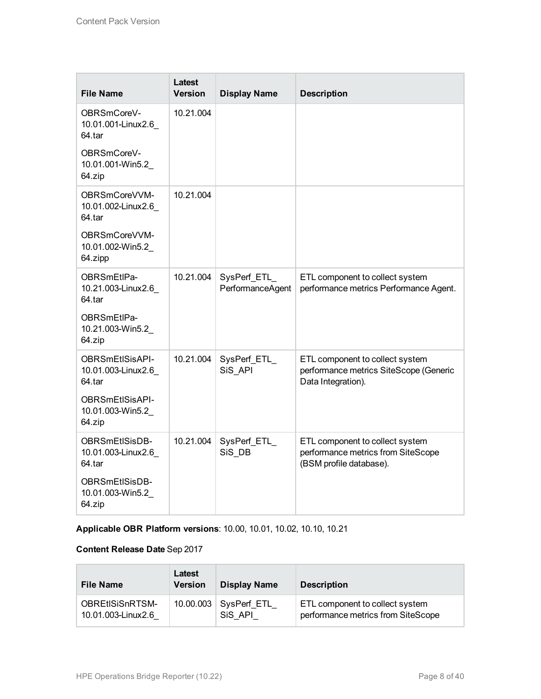| <b>File Name</b>                                | Latest<br><b>Version</b> | <b>Display Name</b>              | <b>Description</b>                                                                               |
|-------------------------------------------------|--------------------------|----------------------------------|--------------------------------------------------------------------------------------------------|
| OBRSmCoreV-<br>10.01.001-Linux2.6<br>64.tar     | 10.21.004                |                                  |                                                                                                  |
| OBRSmCoreV-<br>10.01.001-Win5.2<br>64.zip       |                          |                                  |                                                                                                  |
| OBRSmCoreVVM-<br>10.01.002-Linux2.6<br>64.tar   | 10.21.004                |                                  |                                                                                                  |
| OBRSmCoreVVM-<br>10.01.002-Win5.2<br>64.zipp    |                          |                                  |                                                                                                  |
| OBRSmEtIPa-<br>10.21.003-Linux2.6<br>64.tar     | 10.21.004                | SysPerf_ETL_<br>PerformanceAgent | ETL component to collect system<br>performance metrics Performance Agent.                        |
| OBRSmEtIPa-<br>10.21.003-Win5.2<br>64.zip       |                          |                                  |                                                                                                  |
| OBRSmEtISisAPI-<br>10.01.003-Linux2.6<br>64.tar | 10.21.004                | SysPerf_ETL_<br>SiS_API          | ETL component to collect system<br>performance metrics SiteScope (Generic<br>Data Integration).  |
| OBRSmEtISisAPI-<br>10.01.003-Win5.2<br>64.zip   |                          |                                  |                                                                                                  |
| OBRSmEtISisDB-<br>10.01.003-Linux2.6<br>64.tar  | 10.21.004                | SysPerf_ETL_<br>SiS_DB           | ETL component to collect system<br>performance metrics from SiteScope<br>(BSM profile database). |
| OBRSmEtISisDB-<br>10.01.003-Win5.2<br>64.zip    |                          |                                  |                                                                                                  |

## **Applicable OBR Platform versions**: 10.00, 10.01, 10.02, 10.10, 10.21

## **Content Release Date** Sep 2017

| <b>File Name</b>       | Latest<br><b>Version</b> | <b>Display Name</b> | <b>Description</b>                 |
|------------------------|--------------------------|---------------------|------------------------------------|
| <b>OBREtISISnRTSM-</b> | 10.00.003                | SysPerf ETL         | ETL component to collect system    |
| 10.01.003-Linux2.6     |                          | SiS API             | performance metrics from SiteScope |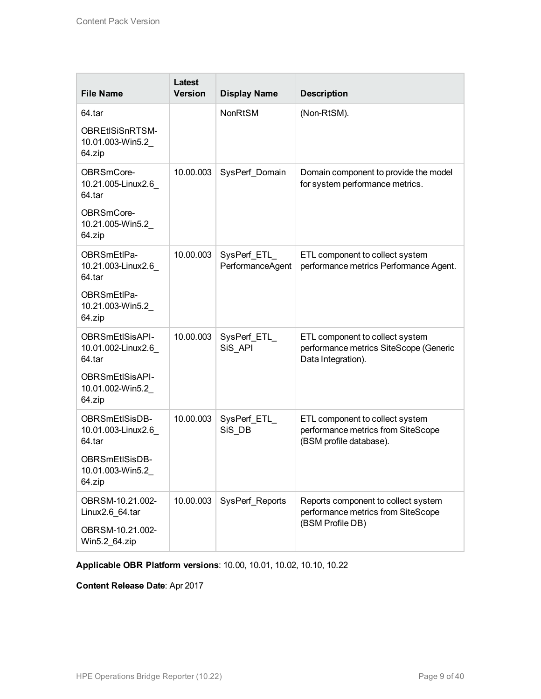| <b>File Name</b>                                                                                 | Latest<br><b>Version</b> | <b>Display Name</b>             | <b>Description</b>                                                                               |
|--------------------------------------------------------------------------------------------------|--------------------------|---------------------------------|--------------------------------------------------------------------------------------------------|
| 64.tar<br>OBREtISiSnRTSM-<br>10.01.003-Win5.2_<br>64.zip                                         |                          | <b>NonRtSM</b>                  | (Non-RtSM).                                                                                      |
| OBRSmCore-<br>10.21.005-Linux2.6<br>64.tar<br>OBRSmCore-<br>10.21.005-Win5.2<br>64.zip           | 10.00.003                | SysPerf_Domain                  | Domain component to provide the model<br>for system performance metrics.                         |
| OBRSmEtIPa-<br>10.21.003-Linux2.6<br>64.tar<br>OBRSmEtIPa-<br>10.21.003-Win5.2<br>64.zip         | 10.00.003                | SysPerf ETL<br>PerformanceAgent | ETL component to collect system<br>performance metrics Performance Agent.                        |
| OBRSmEtISisAPI-<br>10.01.002-Linux2.6<br>64.tar<br>OBRSmEtISisAPI-<br>10.01.002-Win5.2<br>64.zip | 10.00.003                | SysPerf ETL<br>SiS_API          | ETL component to collect system<br>performance metrics SiteScope (Generic<br>Data Integration).  |
| OBRSmEtISisDB-<br>10.01.003-Linux2.6<br>64.tar<br>OBRSmEtISisDB-<br>10.01.003-Win5.2_<br>64.zip  | 10.00.003                | SysPerf_ETL_<br>SiS DB          | ETL component to collect system<br>performance metrics from SiteScope<br>(BSM profile database). |
| OBRSM-10.21.002-<br>Linux2.6_64.tar<br>OBRSM-10.21.002-<br>Win5.2 64.zip                         | 10.00.003                | SysPerf_Reports                 | Reports component to collect system<br>performance metrics from SiteScope<br>(BSM Profile DB)    |

**Applicable OBR Platform versions**: 10.00, 10.01, 10.02, 10.10, 10.22

**Content Release Date**: Apr 2017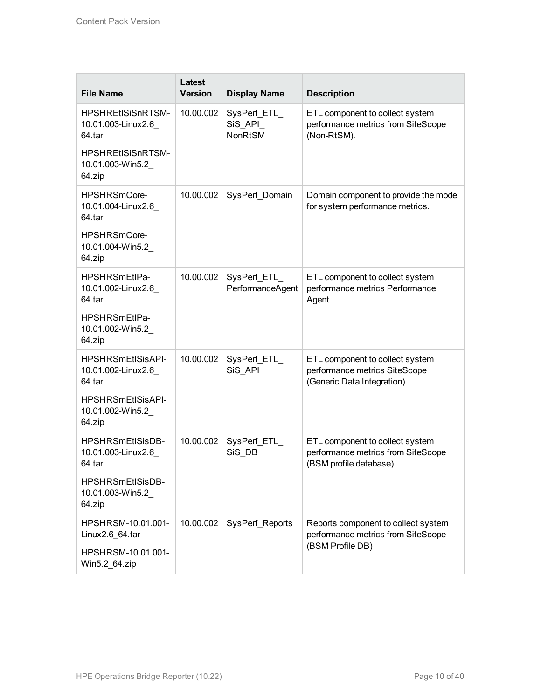| <b>File Name</b>                                                             | Latest<br><b>Version</b> | <b>Display Name</b>                       | <b>Description</b>                                                                               |
|------------------------------------------------------------------------------|--------------------------|-------------------------------------------|--------------------------------------------------------------------------------------------------|
| <b>HPSHREtISiSnRTSM-</b><br>10.01.003-Linux2.6<br>64.tar                     | 10.00.002                | SysPerf_ETL_<br>SiS API<br><b>NonRtSM</b> | ETL component to collect system<br>performance metrics from SiteScope<br>(Non-RtSM).             |
| <b>HPSHREtISiSnRTSM-</b><br>10.01.003-Win5.2<br>64.zip                       |                          |                                           |                                                                                                  |
| HPSHRSmCore-<br>10.01.004-Linux2.6<br>64.tar                                 | 10.00.002                | SysPerf_Domain                            | Domain component to provide the model<br>for system performance metrics.                         |
| HPSHRSmCore-<br>10.01.004-Win5.2<br>64.zip                                   |                          |                                           |                                                                                                  |
| HPSHRSmEtIPa-<br>10.01.002-Linux2.6<br>64.tar                                | 10.00.002                | SysPerf_ETL_<br>PerformanceAgent          | ETL component to collect system<br>performance metrics Performance<br>Agent.                     |
| HPSHRSmEtIPa-<br>10.01.002-Win5.2<br>64.zip                                  |                          |                                           |                                                                                                  |
| HPSHRSmEtISisAPI-<br>10.01.002-Linux2.6<br>64.tar                            | 10.00.002                | SysPerf_ETL_<br>SiS_API                   | ETL component to collect system<br>performance metrics SiteScope<br>(Generic Data Integration).  |
| HPSHRSmEtISisAPI-<br>10.01.002-Win5.2<br>64.zip                              |                          |                                           |                                                                                                  |
| HPSHRSmEtISisDB-<br>10.01.003-Linux2.6<br>64.tar                             | 10.00.002                | SysPerf_ETL_<br>SiS_DB                    | ETL component to collect system<br>performance metrics from SiteScope<br>(BSM profile database). |
| HPSHRSmEtISisDB-<br>10.01.003-Win5.2<br>64.zip                               |                          |                                           |                                                                                                  |
| HPSHRSM-10.01.001-<br>Linux2.6 64.tar<br>HPSHRSM-10.01.001-<br>Win5.2_64.zip | 10.00.002                | SysPerf Reports                           | Reports component to collect system<br>performance metrics from SiteScope<br>(BSM Profile DB)    |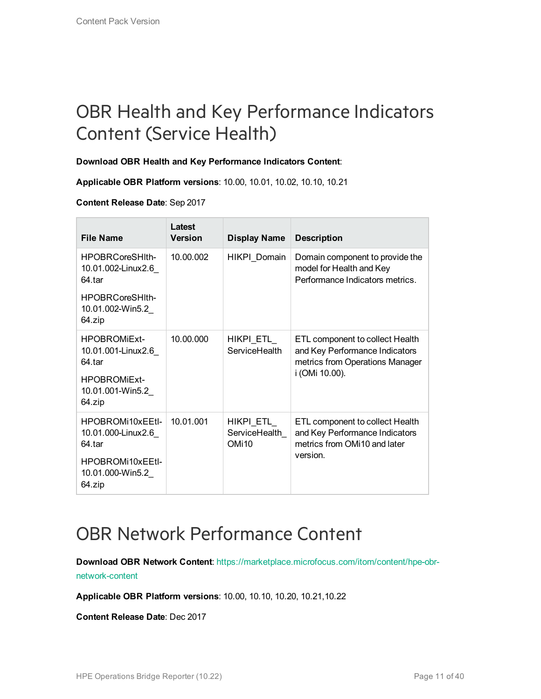## <span id="page-10-0"></span>OBR Health and Key Performance Indicators Content (Service Health)

### **Download OBR Health and Key Performance Indicators Content**:

**Applicable OBR Platform versions**: 10.00, 10.01, 10.02, 10.10, 10.21

#### **Content Release Date**: Sep 2017

| <b>File Name</b>                                       | Latest<br><b>Version</b> | <b>Display Name</b>                              | <b>Description</b>                                                                                                     |
|--------------------------------------------------------|--------------------------|--------------------------------------------------|------------------------------------------------------------------------------------------------------------------------|
| <b>HPOBRCoreSHIth-</b><br>10.01.002-Linux2.6<br>64 tar | 10.00.002                | <b>HIKPI Domain</b>                              | Domain component to provide the<br>model for Health and Key<br>Performance Indicators metrics.                         |
| HPOBRCoreSHIth-<br>10.01.002-Win5.2<br>64.zip          |                          |                                                  |                                                                                                                        |
| <b>HPOBROMIExt-</b><br>10.01.001-Linux2.6<br>64.tar    | 10.00.000                | HIKPI_ETL_<br>ServiceHealth                      | ETL component to collect Health<br>and Key Performance Indicators<br>metrics from Operations Manager<br>i (OMi 10.00). |
| <b>HPOBROMIExt-</b><br>10.01.001-Win5.2<br>64.zip      |                          |                                                  |                                                                                                                        |
| HPOBROMi10xEEtI-<br>10.01.000-Linux2.6<br>64.tar       | 10.01.001                | hikpi etl<br>ServiceHealth<br>OM <sub>i</sub> 10 | ETL component to collect Health<br>and Key Performance Indicators<br>metrics from OMi10 and later<br>version.          |
| HPOBROMi10xEEtI-<br>10.01.000-Win5.2_<br>64.zip        |                          |                                                  |                                                                                                                        |

## <span id="page-10-1"></span>OBR Network Performance Content

**Download OBR Network Content**: [https://marketplace.microfocus.com/itom/content/hpe-obr](https://marketplace.microfocus.com/itom/content/hpe-obr-network-content)[network-content](https://marketplace.microfocus.com/itom/content/hpe-obr-network-content)

**Applicable OBR Platform versions**: 10.00, 10.10, 10.20, 10.21,10.22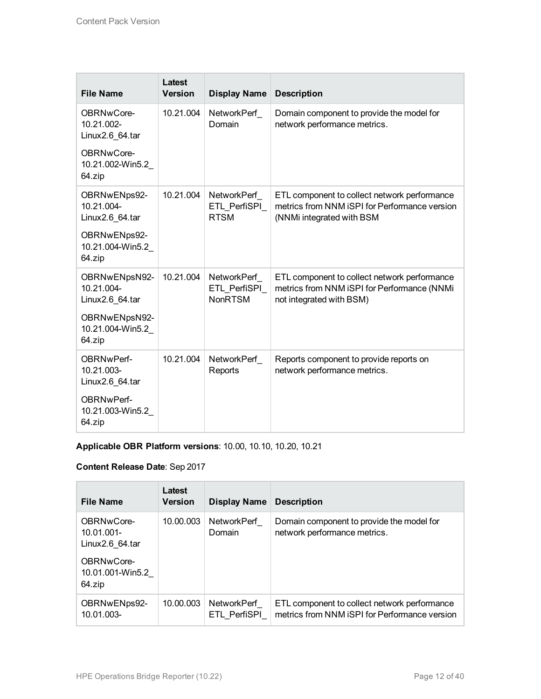| <b>File Name</b>                                                                              | Latest<br><b>Version</b> | <b>Display Name</b>                           | <b>Description</b>                                                                                                         |
|-----------------------------------------------------------------------------------------------|--------------------------|-----------------------------------------------|----------------------------------------------------------------------------------------------------------------------------|
| OBRNwCore-<br>10.21.002-<br>Linux2.6 64.tar<br>OBRNwCore-<br>10.21.002-Win5.2<br>64.zip       | 10.21.004                | NetworkPerf<br>Domain                         | Domain component to provide the model for<br>network performance metrics.                                                  |
| OBRNwENps92-<br>10.21.004-<br>Linux2.6_64.tar<br>OBRNwENps92-<br>10.21.004-Win5.2_<br>64.zip  | 10.21.004                | NetworkPerf<br>ETL PerfiSPI<br><b>RTSM</b>    | ETL component to collect network performance<br>metrics from NNM iSPI for Performance version<br>(NNMi integrated with BSM |
| OBRNwENpsN92-<br>10.21.004-<br>Linux2.6_64.tar<br>OBRNwENpsN92-<br>10.21.004-Win5.2<br>64.zip | 10.21.004                | NetworkPerf<br>ETL PerfiSPI<br><b>NonRTSM</b> | ETL component to collect network performance<br>metrics from NNM iSPI for Performance (NNMi<br>not integrated with BSM)    |
| OBRNwPerf-<br>10.21.003-<br>Linux2.6_64.tar<br>OBRNwPerf-<br>10.21.003-Win5.2<br>64.zip       | 10.21.004                | NetworkPerf<br>Reports                        | Reports component to provide reports on<br>network performance metrics.                                                    |

## **Applicable OBR Platform versions**: 10.00, 10.10, 10.20, 10.21

| <b>File Name</b>                                                                        | Latest<br><b>Version</b> | <b>Display Name</b>         | <b>Description</b>                                                                            |
|-----------------------------------------------------------------------------------------|--------------------------|-----------------------------|-----------------------------------------------------------------------------------------------|
| OBRNwCore-<br>10.01.001-<br>Linux2.6 64.tar<br>OBRNwCore-<br>10.01.001-Win5.2<br>64.zip | 10.00.003                | NetworkPerf<br>Domain       | Domain component to provide the model for<br>network performance metrics.                     |
| OBRNwENps92-<br>10.01.003-                                                              | 10.00.003                | NetworkPerf<br>ETL PerfiSPI | ETL component to collect network performance<br>metrics from NNM iSPI for Performance version |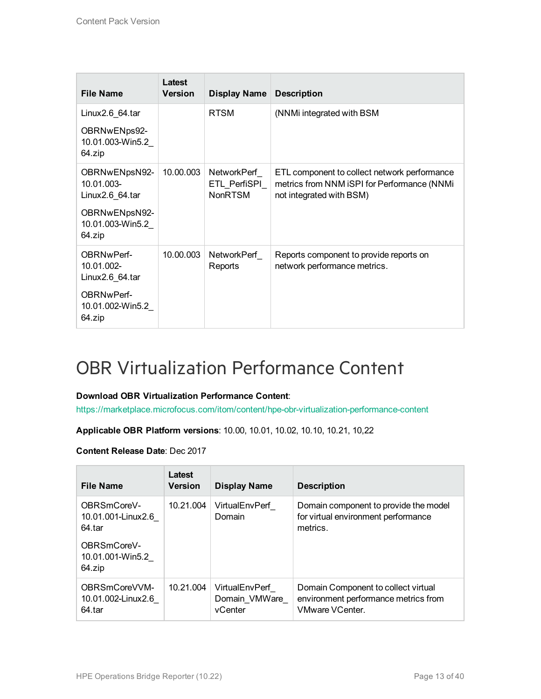| <b>File Name</b>                               | Latest<br><b>Version</b> | <b>Display Name</b>                            | <b>Description</b>                                                                                                      |
|------------------------------------------------|--------------------------|------------------------------------------------|-------------------------------------------------------------------------------------------------------------------------|
| Linux2.6 64.tar                                |                          | <b>RTSM</b>                                    | (NNMi integrated with BSM                                                                                               |
| OBRNwENps92-<br>10.01.003-Win5.2<br>64.zip     |                          |                                                |                                                                                                                         |
| OBRNwENpsN92-<br>10.01.003-<br>Linux2.6 64.tar | 10.00.003                | NetworkPerf<br>ETL_PerfiSPI_<br><b>NonRTSM</b> | ETL component to collect network performance<br>metrics from NNM iSPI for Performance (NNMi<br>not integrated with BSM) |
| OBRNwENpsN92-<br>10.01.003-Win5.2<br>64.zip    |                          |                                                |                                                                                                                         |
| OBRNwPerf-<br>10.01.002-<br>Linux2.6 64.tar    | 10.00.003                | NetworkPerf<br>Reports                         | Reports component to provide reports on<br>network performance metrics.                                                 |
| OBRNwPerf-<br>10.01.002-Win5.2<br>64.zip       |                          |                                                |                                                                                                                         |

## <span id="page-12-0"></span>OBR Virtualization Performance Content

## **Download OBR Virtualization Performance Content**:

<https://marketplace.microfocus.com/itom/content/hpe-obr-virtualization-performance-content>

**Applicable OBR Platform versions**: 10.00, 10.01, 10.02, 10.10, 10.21, 10,22

| <b>File Name</b>                              | Latest<br><b>Version</b> | <b>Display Name</b>                        | <b>Description</b>                                                                                    |
|-----------------------------------------------|--------------------------|--------------------------------------------|-------------------------------------------------------------------------------------------------------|
| OBRSmCoreV-<br>10.01.001-Linux2.6<br>64 tar   | 10.21.004                | VirtualEnvPerf<br>Domain                   | Domain component to provide the model<br>for virtual environment performance<br>metrics.              |
| OBRSmCoreV-<br>10.01.001-Win5.2<br>64.zip     |                          |                                            |                                                                                                       |
| OBRSmCoreVVM-<br>10.01.002-Linux2.6<br>64.tar | 10.21.004                | VirtualEnvPerf<br>Domain VMWare<br>vCenter | Domain Component to collect virtual<br>environment performance metrics from<br><b>VMware VCenter.</b> |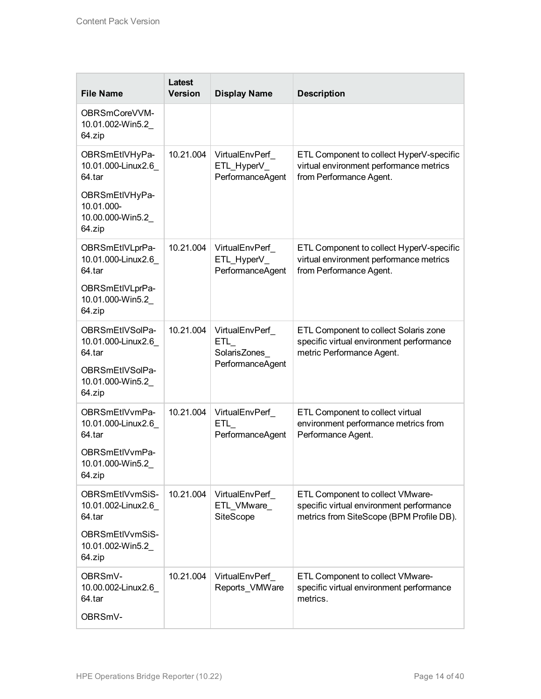| <b>File Name</b>                                            | Latest<br><b>Version</b> | <b>Display Name</b>                               | <b>Description</b>                                                                                                       |
|-------------------------------------------------------------|--------------------------|---------------------------------------------------|--------------------------------------------------------------------------------------------------------------------------|
| OBRSmCoreVVM-<br>10.01.002-Win5.2<br>64.zip                 |                          |                                                   |                                                                                                                          |
| OBRSmEtIVHyPa-<br>10.01.000-Linux2.6<br>64.tar              | 10.21.004                | VirtualEnvPerf<br>ETL_HyperV_<br>PerformanceAgent | ETL Component to collect HyperV-specific<br>virtual environment performance metrics<br>from Performance Agent.           |
| OBRSmEtIVHyPa-<br>10.01.000-<br>10.00.000-Win5.2_<br>64.zip |                          |                                                   |                                                                                                                          |
| OBRSmEtIVLprPa-<br>10.01.000-Linux2.6_<br>64.tar            | 10.21.004                | VirtualEnvPerf<br>ETL_HyperV_<br>PerformanceAgent | ETL Component to collect HyperV-specific<br>virtual environment performance metrics<br>from Performance Agent.           |
| OBRSmEtIVLprPa-<br>10.01.000-Win5.2_<br>64.zip              |                          |                                                   |                                                                                                                          |
| OBRSmEtIVSolPa-<br>10.01.000-Linux2.6<br>64.tar             | 10.21.004                | VirtualEnvPerf_<br>ETL<br>SolarisZones            | ETL Component to collect Solaris zone<br>specific virtual environment performance<br>metric Performance Agent.           |
| OBRSmEtIVSolPa-<br>10.01.000-Win5.2<br>64.zip               |                          | PerformanceAgent                                  |                                                                                                                          |
| OBRSmEtIVvmPa-<br>10.01.000-Linux2.6<br>64.tar              | 10.21.004                | VirtualEnvPerf_<br>ETL<br>PerformanceAgent        | ETL Component to collect virtual<br>environment performance metrics from<br>Performance Agent.                           |
| OBRSmEtIVvmPa-<br>10.01.000-Win5.2<br>64.zip                |                          |                                                   |                                                                                                                          |
| OBRSmEtIVvmSiS-<br>10.01.002-Linux2.6<br>64.tar             | 10.21.004                | VirtualEnvPerf_<br>ETL VMware<br>SiteScope        | ETL Component to collect VMware-<br>specific virtual environment performance<br>metrics from SiteScope (BPM Profile DB). |
| OBRSmEtIVvmSiS-<br>10.01.002-Win5.2<br>64.zip               |                          |                                                   |                                                                                                                          |
| OBRSmV-<br>10.00.002-Linux2.6<br>64.tar                     | 10.21.004                | VirtualEnvPerf<br>Reports_VMWare                  | ETL Component to collect VMware-<br>specific virtual environment performance<br>metrics.                                 |
| OBRSmV-                                                     |                          |                                                   |                                                                                                                          |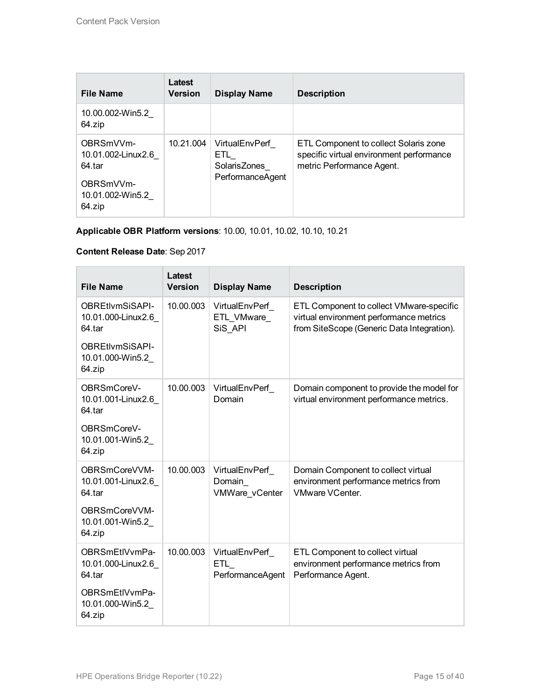| <b>File Name</b>                                                                     | Latest<br><b>Version</b> | <b>Display Name</b>                                        | <b>Description</b>                                                                                             |
|--------------------------------------------------------------------------------------|--------------------------|------------------------------------------------------------|----------------------------------------------------------------------------------------------------------------|
| 10.00.002-Win5.2<br>64.zip                                                           |                          |                                                            |                                                                                                                |
| OBRSmVVm-<br>10.01.002-Linux2.6<br>64.tar<br>OBRSmVVm-<br>10.01.002-Win5.2<br>64.zip | 10.21.004                | VirtualEnvPerf<br>ETL.<br>SolarisZones<br>PerformanceAgent | ETL Component to collect Solaris zone<br>specific virtual environment performance<br>metric Performance Agent. |

**Applicable OBR Platform versions**: 10.00, 10.01, 10.02, 10.10, 10.21

| <b>File Name</b>                                     | <b>Latest</b><br><b>Version</b> | <b>Display Name</b>                               | <b>Description</b>                                                                                                                |
|------------------------------------------------------|---------------------------------|---------------------------------------------------|-----------------------------------------------------------------------------------------------------------------------------------|
| OBREtIvmSiSAPI-<br>10.01.000-Linux2.6<br>64.tar      | 10.00.003                       | VirtualEnvPerf<br>ETL VMware<br>SiS API           | ETL Component to collect VMware-specific<br>virtual environment performance metrics<br>from SiteScope (Generic Data Integration). |
| <b>OBREtIvmSiSAPI-</b><br>10.01.000-Win5.2<br>64.zip |                                 |                                                   |                                                                                                                                   |
| OBRSmCoreV-<br>10.01.001-Linux2.6<br>64.tar          | 10.00.003                       | VirtualEnvPerf<br>Domain                          | Domain component to provide the model for<br>virtual environment performance metrics.                                             |
| OBRSmCoreV-<br>10.01.001-Win5.2<br>64.zip            |                                 |                                                   |                                                                                                                                   |
| OBRSmCoreVVM-<br>10.01.001-Linux2.6<br>64.tar        | 10.00.003                       | VirtualEnvPerf<br>Domain<br><b>VMWare vCenter</b> | Domain Component to collect virtual<br>environment performance metrics from<br><b>VMware VCenter.</b>                             |
| OBRSmCoreVVM-<br>10.01.001-Win5.2_<br>64.zip         |                                 |                                                   |                                                                                                                                   |
| OBRSmEtIVvmPa-<br>10.01.000-Linux2.6<br>64.tar       | 10.00.003                       | VirtualEnvPerf<br>ETL.<br>PerformanceAgent        | ETL Component to collect virtual<br>environment performance metrics from<br>Performance Agent.                                    |
| OBRSmEtIVvmPa-<br>10.01.000-Win5.2<br>64.zip         |                                 |                                                   |                                                                                                                                   |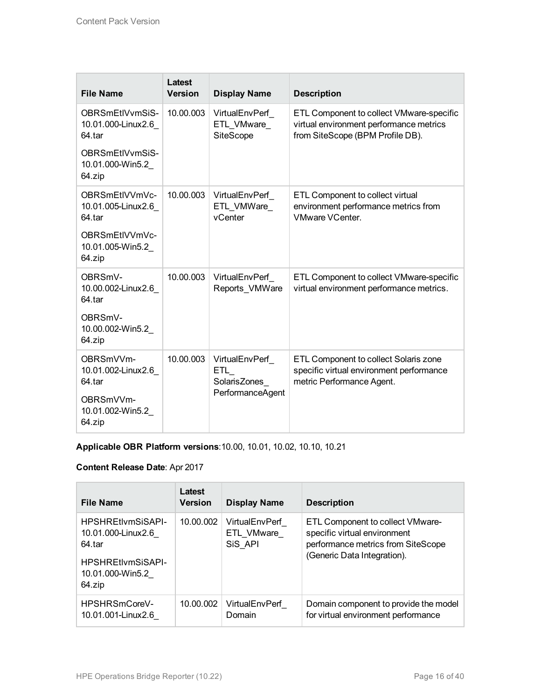| <b>File Name</b>                                | Latest<br><b>Version</b> | <b>Display Name</b>                       | <b>Description</b>                                                                                                      |
|-------------------------------------------------|--------------------------|-------------------------------------------|-------------------------------------------------------------------------------------------------------------------------|
| OBRSmEtIVvmSiS-<br>10.01.000-Linux2.6<br>64.tar | 10.00.003                | VirtualEnvPerf<br>ETL VMware<br>SiteScope | ETL Component to collect VMware-specific<br>virtual environment performance metrics<br>from SiteScope (BPM Profile DB). |
| OBRSmEtIVvmSiS-<br>10.01.000-Win5.2<br>64.zip   |                          |                                           |                                                                                                                         |
| OBRSmEtIVVmVc-<br>10.01.005-Linux2.6<br>64.tar  | 10.00.003                | VirtualEnvPerf<br>ETL VMWare<br>vCenter   | ETL Component to collect virtual<br>environment performance metrics from<br><b>VMware VCenter.</b>                      |
| OBRSmEtIVVmVc-<br>10.01.005-Win5.2<br>64.zip    |                          |                                           |                                                                                                                         |
| OBRSmV-<br>10.00.002-Linux2.6<br>64.tar         | 10.00.003                | VirtualEnvPerf<br>Reports VMWare          | ETL Component to collect VMware-specific<br>virtual environment performance metrics.                                    |
| OBRSmV-<br>10.00.002-Win5.2<br>64.zip           |                          |                                           |                                                                                                                         |
| OBRSmVVm-<br>10.01.002-Linux2.6<br>64.tar       | 10.00.003                | VirtualEnvPerf<br>ETL<br>SolarisZones     | ETL Component to collect Solaris zone<br>specific virtual environment performance<br>metric Performance Agent.          |
| OBRSmVVm-<br>10.01.002-Win5.2<br>64.zip         |                          | PerformanceAgent                          |                                                                                                                         |

## **Applicable OBR Platform versions**:10.00, 10.01, 10.02, 10.10, 10.21

## **Content Release Date**: Apr 2017

| <b>File Name</b>                                                                                     | Latest<br><b>Version</b> | <b>Display Name</b>                     | <b>Description</b>                                                                                                                    |
|------------------------------------------------------------------------------------------------------|--------------------------|-----------------------------------------|---------------------------------------------------------------------------------------------------------------------------------------|
| HPSHREtlymSiSAPI-<br>10.01.000-Linux2.6<br>64.tar<br>HPSHREtlymSiSAPI-<br>10.01.000-Win5.2<br>64.zip | 10.00.002                | VirtualEnvPerf<br>ETL VMware<br>SiS API | ETL Component to collect VMware-<br>specific virtual environment<br>performance metrics from SiteScope<br>(Generic Data Integration). |
| HPSHRSmCoreV-<br>10.01.001-Linux2.6                                                                  | 10.00.002                | VirtualEnvPerf<br>Domain                | Domain component to provide the model<br>for virtual environment performance                                                          |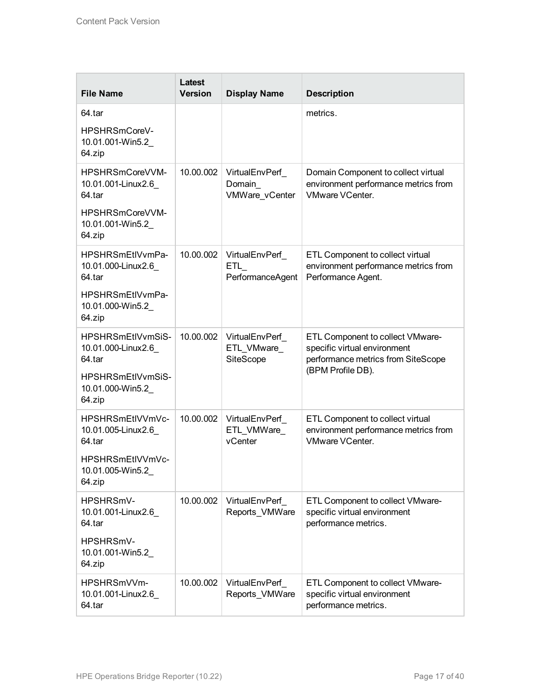| <b>File Name</b>                                  | Latest<br><b>Version</b> | <b>Display Name</b>                        | <b>Description</b>                                                                                     |
|---------------------------------------------------|--------------------------|--------------------------------------------|--------------------------------------------------------------------------------------------------------|
| 64.tar                                            |                          |                                            | metrics.                                                                                               |
| HPSHRSmCoreV-<br>10.01.001-Win5.2<br>64.zip       |                          |                                            |                                                                                                        |
| HPSHRSmCoreVVM-<br>10.01.001-Linux2.6_<br>64.tar  | 10.00.002                | VirtualEnvPerf<br>Domain<br>VMWare vCenter | Domain Component to collect virtual<br>environment performance metrics from<br>VMware VCenter.         |
| HPSHRSmCoreVVM-<br>10.01.001-Win5.2<br>64.zip     |                          |                                            |                                                                                                        |
| HPSHRSmEtIVvmPa-<br>10.01.000-Linux2.6<br>64.tar  | 10.00.002                | VirtualEnvPerf<br>ETL<br>PerformanceAgent  | ETL Component to collect virtual<br>environment performance metrics from<br>Performance Agent.         |
| HPSHRSmEtIVvmPa-<br>10.01.000-Win5.2_<br>64.zip   |                          |                                            |                                                                                                        |
| HPSHRSmEtIVvmSiS-<br>10.01.000-Linux2.6<br>64.tar | 10.00.002                | VirtualEnvPerf<br>ETL_VMware<br>SiteScope  | ETL Component to collect VMware-<br>specific virtual environment<br>performance metrics from SiteScope |
| HPSHRSmEtIVvmSiS-<br>10.01.000-Win5.2<br>64.zip   |                          |                                            | (BPM Profile DB).                                                                                      |
| HPSHRSmEtIVVmVc-<br>10.01.005-Linux2.6<br>64.tar  | 10.00.002                | VirtualEnvPerf<br>ETL VMWare<br>vCenter    | ETL Component to collect virtual<br>environment performance metrics from<br><b>VMware VCenter.</b>     |
| HPSHRSmEtIVVmVc-<br>10.01.005-Win5.2_<br>64.zip   |                          |                                            |                                                                                                        |
| HPSHRSmV-<br>10.01.001-Linux2.6<br>64.tar         | 10.00.002                | VirtualEnvPerf<br>Reports VMWare           | ETL Component to collect VMware-<br>specific virtual environment<br>performance metrics.               |
| HPSHRSmV-<br>10.01.001-Win5.2<br>64.zip           |                          |                                            |                                                                                                        |
| HPSHRSmVVm-<br>10.01.001-Linux2.6<br>64.tar       | 10.00.002                | VirtualEnvPerf<br>Reports_VMWare           | ETL Component to collect VMware-<br>specific virtual environment<br>performance metrics.               |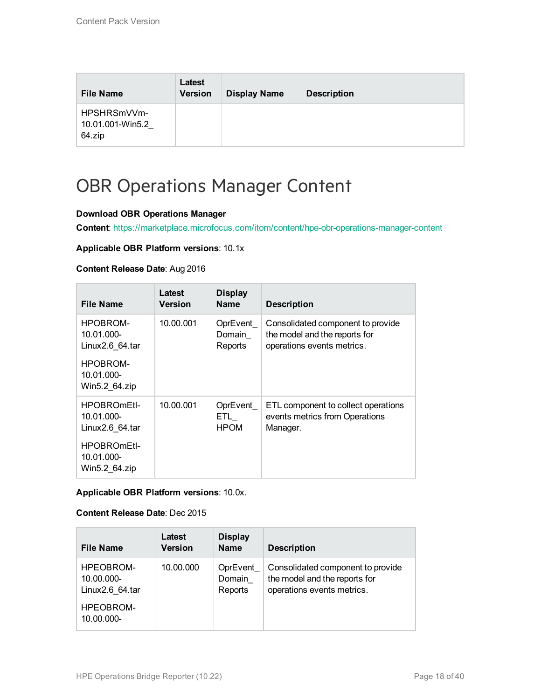| <b>File Name</b>                          | Latest<br><b>Version</b> | <b>Display Name</b> | <b>Description</b> |
|-------------------------------------------|--------------------------|---------------------|--------------------|
| HPSHRSmVVm-<br>10.01.001-Win5.2<br>64.zip |                          |                     |                    |

## <span id="page-17-0"></span>OBR Operations Manager Content

## **Download OBR Operations Manager**

**Content**:<https://marketplace.microfocus.com/itom/content/hpe-obr-operations-manager-content>

## **Applicable OBR Platform versions**: 10.1x

#### **Content Release Date**: Aug 2016

| File Name                                       | Latest<br><b>Version</b> | <b>Display</b><br><b>Name</b>  | <b>Description</b>                                                                               |
|-------------------------------------------------|--------------------------|--------------------------------|--------------------------------------------------------------------------------------------------|
| HPOBROM-<br>10.01.000-<br>Linux2.6_64.tar       | 10.00.001                | OprEvent<br>Domain<br>Reports  | Consolidated component to provide<br>the model and the reports for<br>operations events metrics. |
| HPOBROM-<br>10.01.000-<br>Win5.2 64.zip         |                          |                                |                                                                                                  |
| HPOBROmEtI-<br>10.01.000-<br>Linux2.6 $64$ .tar | 10.00.001                | OprEvent<br>ETL<br><b>HPOM</b> | ETL component to collect operations<br>events metrics from Operations<br>Manager.                |
| HPOBROmEtI-<br>10.01.000-<br>Win5.2 64.zip      |                          |                                |                                                                                                  |

## **Applicable OBR Platform versions**: 10.0x.

| <b>File Name</b>                                                      | Latest<br><b>Version</b> | <b>Display</b><br><b>Name</b> | <b>Description</b>                                                                               |
|-----------------------------------------------------------------------|--------------------------|-------------------------------|--------------------------------------------------------------------------------------------------|
| HPEOBROM-<br>10.00.000-<br>Linux2.6 64.tar<br>HPEOBROM-<br>10.00.000- | 10.00.000                | OprEvent<br>Domain<br>Reports | Consolidated component to provide<br>the model and the reports for<br>operations events metrics. |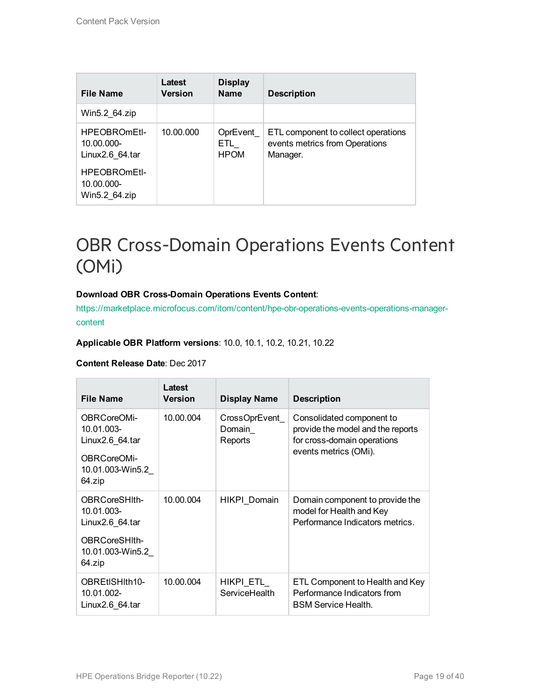| <b>File Name</b>                              | Latest<br><b>Version</b> | <b>Display</b><br><b>Name</b>  | <b>Description</b>                                                                |
|-----------------------------------------------|--------------------------|--------------------------------|-----------------------------------------------------------------------------------|
| Win5.2 64.zip                                 |                          |                                |                                                                                   |
| HPFOBROmEtI-<br>10.00.000-<br>Linux2.6 64.tar | 10.00.000                | OprEvent<br>ETL<br><b>HPOM</b> | ETL component to collect operations<br>events metrics from Operations<br>Manager. |
| HPEOBROmEtI-<br>10.00.000-<br>Win5.2 64.zip   |                          |                                |                                                                                   |

## <span id="page-18-0"></span>OBR Cross-Domain Operations Events Content (OMi)

## **Download OBR Cross-Domain Operations Events Content**:

[https://marketplace.microfocus.com/itom/content/hpe-obr-operations-events-operations-manager](https://marketplace.microfocus.com/itom/content/hpe-obr-operations-events-operations-manager-content)[content](https://marketplace.microfocus.com/itom/content/hpe-obr-operations-events-operations-manager-content)

## **Applicable OBR Platform versions**: 10.0, 10.1, 10.2, 10.21, 10.22

| <b>File Name</b>                                                                              | Latest<br><b>Version</b> | <b>Display Name</b>                | <b>Description</b>                                                                                                     |
|-----------------------------------------------------------------------------------------------|--------------------------|------------------------------------|------------------------------------------------------------------------------------------------------------------------|
| OBRCoreOMi-<br>10.01.003-<br>Linux2.6_64.tar<br>OBRCoreOMi-<br>10.01.003-Win5.2<br>64.zip     | 10.00.004                | CrossOprEvent<br>Domain<br>Reports | Consolidated component to<br>provide the model and the reports<br>for cross-domain operations<br>events metrics (OMi). |
| OBRCoreSHIth-<br>10.01.003-<br>Linux2.6 64.tar<br>OBRCoreSHIth-<br>10.01.003-Win5.2<br>64.zip | 10.00.004                | HIKPI Domain                       | Domain component to provide the<br>model for Health and Key<br>Performance Indicators metrics.                         |
| OBREtISHIth10-<br>10.01.002-<br>Linux2.6 64.tar                                               | 10.00.004                | hikpi etl<br>ServiceHealth         | ETL Component to Health and Key<br>Performance Indicators from<br><b>BSM Service Health.</b>                           |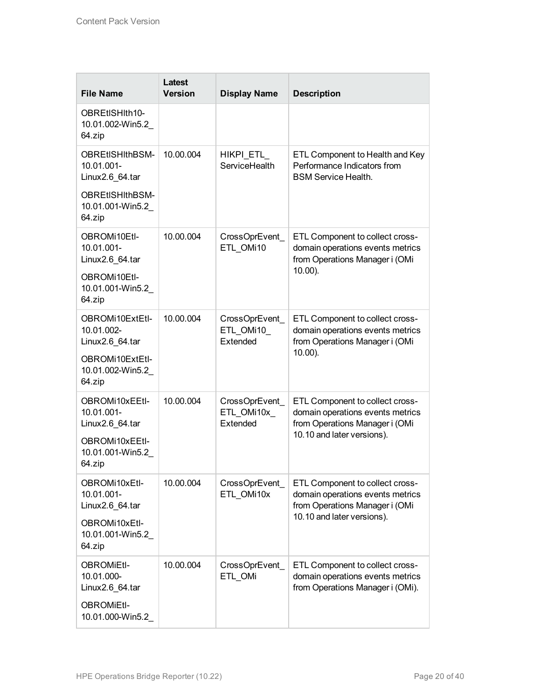| <b>File Name</b>                                              | <b>Latest</b><br><b>Version</b> | <b>Display Name</b>                       | <b>Description</b>                                                                                                  |
|---------------------------------------------------------------|---------------------------------|-------------------------------------------|---------------------------------------------------------------------------------------------------------------------|
| OBREtISHIth10-<br>10.01.002-Win5.2<br>64.zip                  |                                 |                                           |                                                                                                                     |
| OBREtISHIthBSM-<br>10.01.001-<br>Linux2.6 64.tar              | 10.00.004                       | hikpi etl<br>ServiceHealth                | ETL Component to Health and Key<br>Performance Indicators from<br><b>BSM Service Health.</b>                        |
| OBREtISHIthBSM-<br>10.01.001-Win5.2<br>64.zip                 |                                 |                                           |                                                                                                                     |
| OBROMi10Etl-<br>10.01.001-<br>Linux2.6_64.tar<br>OBROMi10Etl- | 10.00.004                       | CrossOprEvent_<br>ETL_OMi10               | ETL Component to collect cross-<br>domain operations events metrics<br>from Operations Manager i (OMi<br>$10.00$ ). |
| 10.01.001-Win5.2<br>64.zip                                    |                                 |                                           |                                                                                                                     |
| OBROMi10ExtEtl-<br>10.01.002-<br>Linux2.6_64.tar              | 10.00.004                       | CrossOprEvent_<br>ETL OMi10<br>Extended   | ETL Component to collect cross-<br>domain operations events metrics<br>from Operations Manager i (OMi               |
| OBROMi10ExtEtl-<br>10.01.002-Win5.2_<br>64.zip                |                                 |                                           | $10.00$ ).                                                                                                          |
| OBROMi10xEEtI-<br>10.01.001-<br>Linux2.6_64.tar               | 10.00.004                       | CrossOprEvent_<br>ETL_OMi10x_<br>Extended | ETL Component to collect cross-<br>domain operations events metrics<br>from Operations Manager i (OMi               |
| OBROMi10xEEtl-<br>10.01.001-Win5.2<br>64.zip                  |                                 |                                           | 10.10 and later versions).                                                                                          |
| OBROMi10xEtl-<br>10.01.001-<br>Linux2.6_64.tar                | 10.00.004                       | CrossOprEvent_<br>ETL OMi10x              | ETL Component to collect cross-<br>domain operations events metrics<br>from Operations Manager i (OMi               |
| OBROMi10xEtl-<br>10.01.001-Win5.2_<br>64.zip                  |                                 |                                           | 10.10 and later versions).                                                                                          |
| <b>OBROMiEtI-</b><br>10.01.000-<br>Linux2.6_64.tar            | 10.00.004                       | CrossOprEvent_<br>ETL_OMi                 | ETL Component to collect cross-<br>domain operations events metrics<br>from Operations Manager i (OMi).             |
| <b>OBROMIEtI-</b><br>10.01.000-Win5.2_                        |                                 |                                           |                                                                                                                     |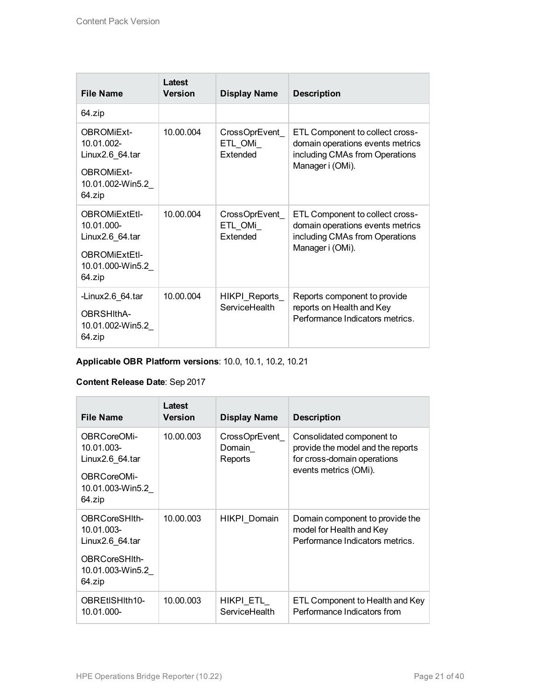| <b>File Name</b>                                                                                     | Latest<br><b>Version</b> | <b>Display Name</b>                  | <b>Description</b>                                                                                                        |
|------------------------------------------------------------------------------------------------------|--------------------------|--------------------------------------|---------------------------------------------------------------------------------------------------------------------------|
| 64.zip                                                                                               |                          |                                      |                                                                                                                           |
| OBROMiExt-<br>10.01.002-<br>Linux2.6 64.tar<br>OBROMiExt-<br>10.01.002-Win5.2_<br>64.zip             | 10.00.004                | CrossOprEvent<br>ETL OMi<br>Extended | ETL Component to collect cross-<br>domain operations events metrics<br>including CMAs from Operations<br>Manager i (OMi). |
| OBROMiExtEtl-<br>10.01.000-<br>Linux2.6 64.tar<br><b>OBROMIExtEtI-</b><br>10.01.000-Win5.2<br>64.zip | 10.00.004                | CrossOprEvent<br>ETL OMi<br>Extended | ETL Component to collect cross-<br>domain operations events metrics<br>including CMAs from Operations<br>Manager i (OMi). |
| -Linux2.6_64.tar<br>OBRSHIthA-<br>10.01.002-Win5.2<br>64.zip                                         | 10.00.004                | HIKPI_Reports_<br>ServiceHealth      | Reports component to provide<br>reports on Health and Key<br>Performance Indicators metrics.                              |

## **Applicable OBR Platform versions**: 10.0, 10.1, 10.2, 10.21

| <b>File Name</b>                                                                              | Latest<br><b>Version</b> | <b>Display Name</b>                | <b>Description</b>                                                                                                     |
|-----------------------------------------------------------------------------------------------|--------------------------|------------------------------------|------------------------------------------------------------------------------------------------------------------------|
| OBRCoreOMi-<br>10.01.003-<br>Linux2.6_64.tar<br>OBRCoreOMi-<br>10.01.003-Win5.2<br>64.zip     | 10.00.003                | CrossOprEvent<br>Domain<br>Reports | Consolidated component to<br>provide the model and the reports<br>for cross-domain operations<br>events metrics (OMi). |
| OBRCoreSHIth-<br>10.01.003-<br>Linux2.6 64.tar<br>OBRCoreSHIth-<br>10.01.003-Win5.2<br>64.zip | 10.00.003                | HIKPI Domain                       | Domain component to provide the<br>model for Health and Key<br>Performance Indicators metrics.                         |
| OBREtISHIth10-<br>10.01.000-                                                                  | 10.00.003                | hikpi etl<br>ServiceHealth         | ETL Component to Health and Key<br>Performance Indicators from                                                         |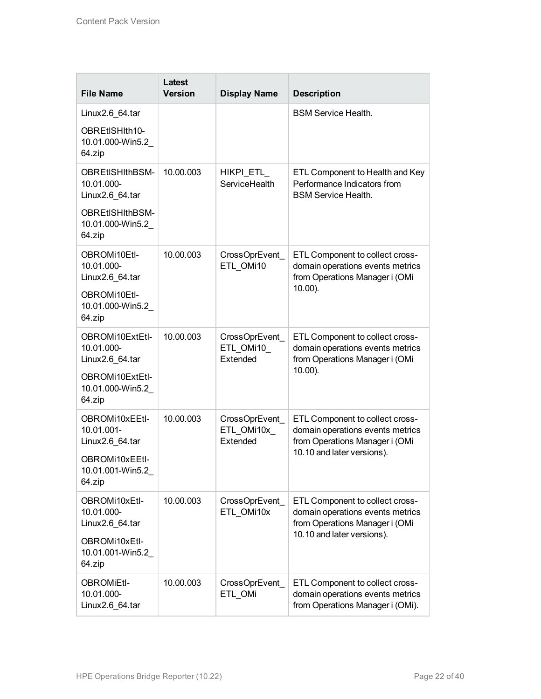| <b>File Name</b>                                   | Latest<br><b>Version</b> | <b>Display Name</b>                       | <b>Description</b>                                                                                      |
|----------------------------------------------------|--------------------------|-------------------------------------------|---------------------------------------------------------------------------------------------------------|
| Linux2.6_64.tar                                    |                          |                                           | <b>BSM Service Health.</b>                                                                              |
| OBREtISHIth10-<br>10.01.000-Win5.2<br>64.zip       |                          |                                           |                                                                                                         |
| OBREtISHIthBSM-<br>10.01.000-<br>Linux2.6_64.tar   | 10.00.003                | HIKPI_ETL_<br>ServiceHealth               | ETL Component to Health and Key<br>Performance Indicators from<br><b>BSM Service Health.</b>            |
| OBREtISHIthBSM-<br>10.01.000-Win5.2<br>64.zip      |                          |                                           |                                                                                                         |
| OBROMi10Etl-<br>10.01.000-<br>Linux2.6_64.tar      | 10.00.003                | CrossOprEvent_<br>ETL OMi10               | ETL Component to collect cross-<br>domain operations events metrics<br>from Operations Manager i (OMi   |
| OBROMi10Etl-<br>10.01.000-Win5.2<br>64.zip         |                          |                                           | $10.00$ ).                                                                                              |
| OBROMi10ExtEtl-<br>10.01.000-<br>Linux2.6_64.tar   | 10.00.003                | CrossOprEvent_<br>ETL OMi10<br>Extended   | ETL Component to collect cross-<br>domain operations events metrics<br>from Operations Manager i (OMi   |
| OBROMi10ExtEtl-<br>10.01.000-Win5.2_<br>64.zip     |                          |                                           | $10.00$ ).                                                                                              |
| OBROMi10xEEtI-<br>10.01.001-<br>Linux2.6_64.tar    | 10.00.003                | CrossOprEvent_<br>ETL_OMi10x_<br>Extended | ETL Component to collect cross-<br>domain operations events metrics<br>from Operations Manager i (OMi   |
| OBROMi10xEEtI-<br>10.01.001-Win5.2<br>64.zip       |                          |                                           | 10.10 and later versions).                                                                              |
| OBROMi10xEtl-<br>10.01.000-<br>Linux2.6_64.tar     | 10.00.003                | CrossOprEvent<br>ETL OMi10x               | ETL Component to collect cross-<br>domain operations events metrics<br>from Operations Manager i (OMi   |
| OBROMi10xEtl-<br>10.01.001-Win5.2_<br>64.zip       |                          |                                           | 10.10 and later versions).                                                                              |
| <b>OBROMIEtI-</b><br>10.01.000-<br>Linux2.6_64.tar | 10.00.003                | CrossOprEvent_<br>ETL OMi                 | ETL Component to collect cross-<br>domain operations events metrics<br>from Operations Manager i (OMi). |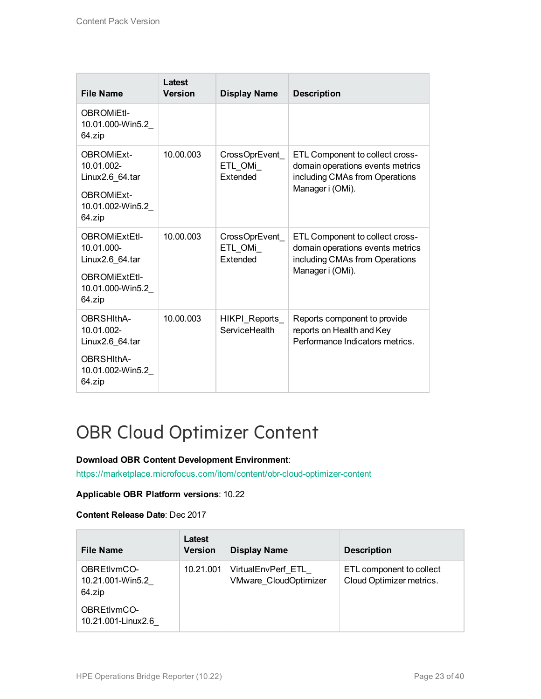| <b>File Name</b>                                                                                            | Latest<br><b>Version</b> | <b>Display Name</b>                   | <b>Description</b>                                                                                                        |
|-------------------------------------------------------------------------------------------------------------|--------------------------|---------------------------------------|---------------------------------------------------------------------------------------------------------------------------|
| <b>OBROMiEtI-</b><br>10.01.000-Win5.2<br>64.zip                                                             |                          |                                       |                                                                                                                           |
| <b>OBROMiExt-</b><br>10.01.002-<br>Linux2.6 64.tar<br><b>OBROMiExt-</b><br>10.01.002-Win5.2_<br>64.zip      | 10.00.003                | CrossOprEvent_<br>ETL_OMi<br>Extended | ETL Component to collect cross-<br>domain operations events metrics<br>including CMAs from Operations<br>Manager i (OMi). |
| <b>OBROMIExtEtI-</b><br>10.01.000-<br>Linux2.6 64.tar<br><b>OBROMIExtEtI-</b><br>10.01.000-Win5.2<br>64.zip | 10.00.003                | CrossOprEvent<br>ETL_OMi_<br>Extended | ETL Component to collect cross-<br>domain operations events metrics<br>including CMAs from Operations<br>Manager i (OMi). |
| <b>OBRSHIthA-</b><br>10.01.002-<br>Linux2.6 64.tar<br>OBRSHIthA-<br>10.01.002-Win5.2<br>64.zip              | 10.00.003                | HIKPI Reports<br><b>ServiceHealth</b> | Reports component to provide<br>reports on Health and Key<br>Performance Indicators metrics.                              |

## <span id="page-22-0"></span>OBR Cloud Optimizer Content

## **Download OBR Content Development Environment**:

<https://marketplace.microfocus.com/itom/content/obr-cloud-optimizer-content>

## **Applicable OBR Platform versions**: 10.22

| <b>File Name</b>                          | Latest<br><b>Version</b> | <b>Display Name</b>                                | <b>Description</b>                                   |
|-------------------------------------------|--------------------------|----------------------------------------------------|------------------------------------------------------|
| OBREtIvmCO-<br>10.21.001-Win5.2<br>64.zip | 10.21.001                | VirtualEnvPerf ETL<br><b>VMware CloudOptimizer</b> | ETL component to collect<br>Cloud Optimizer metrics. |
| OBREtIvmCO-<br>10.21.001-Linux2.6         |                          |                                                    |                                                      |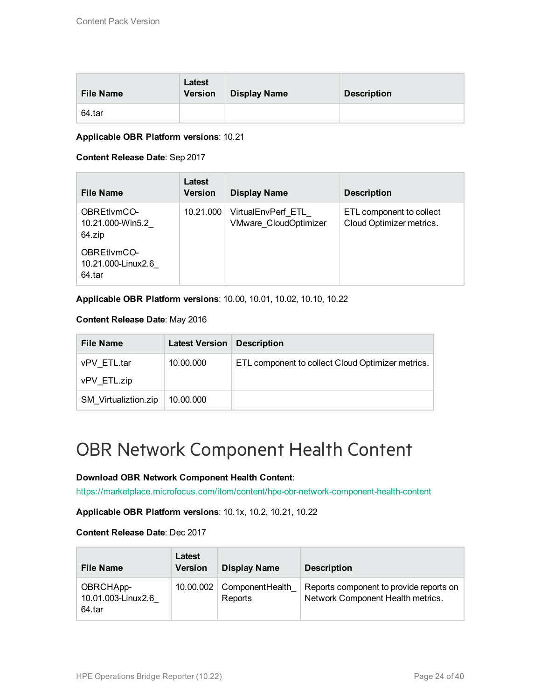| <b>File Name</b> | Latest<br>Version | <b>Display Name</b> | <b>Description</b> |
|------------------|-------------------|---------------------|--------------------|
| 64.tar           |                   |                     |                    |

### **Applicable OBR Platform versions**: 10.21

#### **Content Release Date**: Sep 2017

| <b>File Name</b>                            | Latest<br><b>Version</b> | <b>Display Name</b>                         | <b>Description</b>                                   |
|---------------------------------------------|--------------------------|---------------------------------------------|------------------------------------------------------|
| OBREtIvmCO-<br>10.21.000-Win5.2<br>64.zip   | 10.21.000                | VirtualEnvPerf ETL<br>VMware CloudOptimizer | ETL component to collect<br>Cloud Optimizer metrics. |
| OBREtIvmCO-<br>10.21.000-Linux2.6<br>64.tar |                          |                                             |                                                      |

**Applicable OBR Platform versions**: 10.00, 10.01, 10.02, 10.10, 10.22

#### **Content Release Date**: May 2016

| <b>File Name</b>     | <b>Latest Version</b> | <b>Description</b>                                |
|----------------------|-----------------------|---------------------------------------------------|
| vPV ETL.tar          | 10.00.000             | ETL component to collect Cloud Optimizer metrics. |
| vPV ETL.zip          |                       |                                                   |
| SM Virtualiztion.zip | 10.00.000             |                                                   |

## <span id="page-23-0"></span>OBR Network Component Health Content

## **Download OBR Network Component Health Content**:

<https://marketplace.microfocus.com/itom/content/hpe-obr-network-component-health-content>

**Applicable OBR Platform versions**: 10.1x, 10.2, 10.21, 10.22

| <b>File Name</b>                          | Latest<br><b>Version</b> | <b>Display Name</b>        | <b>Description</b>                                                           |
|-------------------------------------------|--------------------------|----------------------------|------------------------------------------------------------------------------|
| OBRCHApp-<br>10.01.003-Linux2.6<br>64.tar | 10.00.002                | ComponentHealth<br>Reports | Reports component to provide reports on<br>Network Component Health metrics. |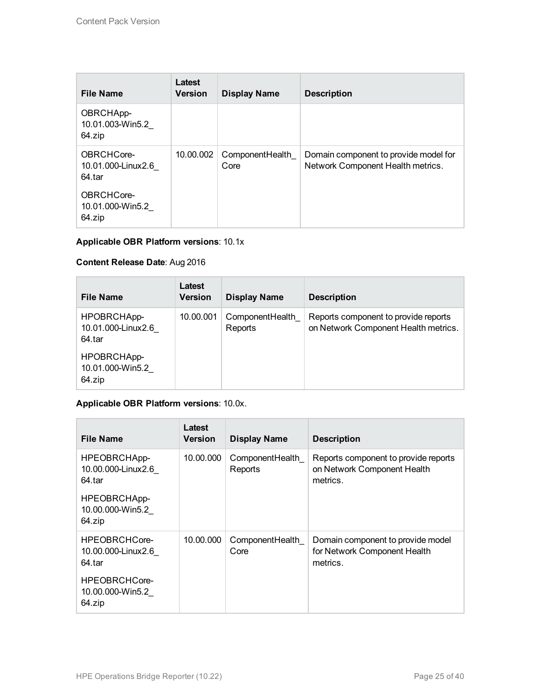| <b>File Name</b>                           | Latest<br><b>Version</b> | <b>Display Name</b>     | <b>Description</b>                                                         |
|--------------------------------------------|--------------------------|-------------------------|----------------------------------------------------------------------------|
| OBRCHApp-<br>10.01.003-Win5.2<br>64.zip    |                          |                         |                                                                            |
| OBRCHCore-<br>10.01.000-Linux2.6<br>64.tar | 10.00.002                | ComponentHealth<br>Core | Domain component to provide model for<br>Network Component Health metrics. |
| OBRCHCore-<br>10.01.000-Win5.2<br>64.zip   |                          |                         |                                                                            |

## **Applicable OBR Platform versions**: 10.1x

## **Content Release Date**: Aug 2016

| <b>File Name</b>                            | Latest<br><b>Version</b> | <b>Display Name</b>        | <b>Description</b>                                                           |
|---------------------------------------------|--------------------------|----------------------------|------------------------------------------------------------------------------|
| HPOBRCHApp-<br>10.01.000-Linux2.6<br>64.tar | 10.00.001                | ComponentHealth<br>Reports | Reports component to provide reports<br>on Network Component Health metrics. |
| HPOBRCHApp-<br>10.01.000-Win5.2<br>64.zip   |                          |                            |                                                                              |

## **Applicable OBR Platform versions**: 10.0x.

| <b>File Name</b>                              | Latest<br>Version | <b>Display Name</b>        | <b>Description</b>                                                              |
|-----------------------------------------------|-------------------|----------------------------|---------------------------------------------------------------------------------|
| HPEOBRCHApp-<br>10.00.000-Linux2.6<br>64 tar  | 10.00.000         | ComponentHealth<br>Reports | Reports component to provide reports<br>on Network Component Health<br>metrics. |
| HPEOBRCHApp-<br>10.00.000-Win5.2<br>64.zip    |                   |                            |                                                                                 |
| HPEOBRCHCore-<br>10.00.000-Linux2.6<br>64.tar | 10.00.000         | ComponentHealth<br>Core    | Domain component to provide model<br>for Network Component Health<br>metrics.   |
| HPEOBRCHCore-<br>10.00.000-Win5.2<br>64.zip   |                   |                            |                                                                                 |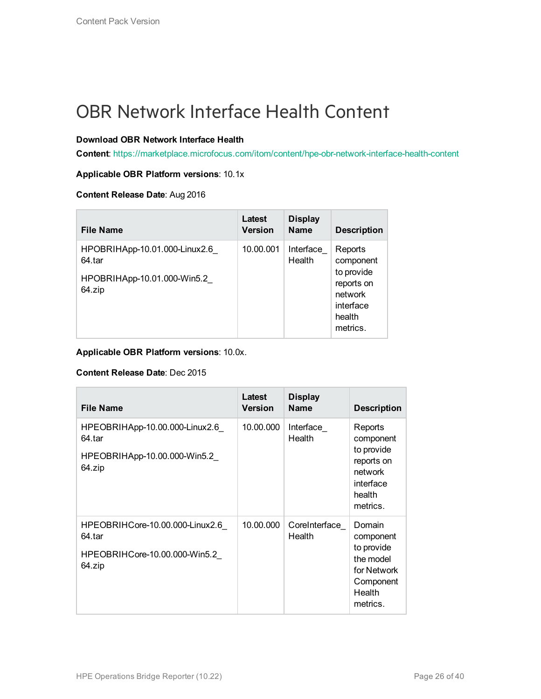## <span id="page-25-0"></span>OBR Network Interface Health Content

### **Download OBR Network Interface Health**

**Content**:<https://marketplace.microfocus.com/itom/content/hpe-obr-network-interface-health-content>

## **Applicable OBR Platform versions**: 10.1x

## **Content Release Date**: Aug 2016

| <b>File Name</b>                                                                 | Latest<br><b>Version</b> | <b>Display</b><br><b>Name</b> | <b>Description</b>                                                                             |
|----------------------------------------------------------------------------------|--------------------------|-------------------------------|------------------------------------------------------------------------------------------------|
| HPOBRIHApp-10.01.000-Linux2.6<br>64.tar<br>HPOBRIHApp-10.01.000-Win5.2<br>64.zip | 10.00.001                | Interface<br>Health           | Reports<br>component<br>to provide<br>reports on<br>network<br>interface<br>health<br>metrics. |

### **Applicable OBR Platform versions**: 10.0x.

| <b>File Name</b>                                                                     | Latest<br><b>Version</b> | <b>Display</b><br><b>Name</b> | <b>Description</b>                                                                               |
|--------------------------------------------------------------------------------------|--------------------------|-------------------------------|--------------------------------------------------------------------------------------------------|
| HPEOBRIHApp-10.00.000-Linux2.6<br>64 tar<br>HPEOBRIHApp-10.00.000-Win5.2<br>64.zip   | 10.00.000                | Interface<br>Health           | Reports<br>component<br>to provide<br>reports on<br>network<br>interface<br>health<br>metrics.   |
| HPEOBRIHCore-10.00.000-Linux2.6<br>64 tar<br>HPEOBRIHCore-10.00.000-Win5.2<br>64.zip | 10.00.000                | CoreInterface<br>Health       | Domain<br>component<br>to provide<br>the model<br>for Network<br>Component<br>Health<br>metrics. |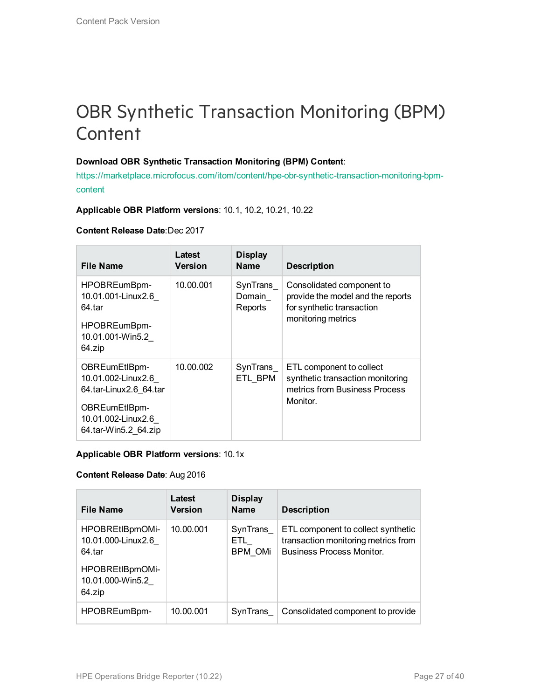## <span id="page-26-0"></span>OBR Synthetic Transaction Monitoring (BPM) **Content**

## **Download OBR Synthetic Transaction Monitoring (BPM) Content**:

[https://marketplace.microfocus.com/itom/content/hpe-obr-synthetic-transaction-monitoring-bpm](https://marketplace.microfocus.com/itom/content/hpe-obr-synthetic-transaction-monitoring-bpm-content)[content](https://marketplace.microfocus.com/itom/content/hpe-obr-synthetic-transaction-monitoring-bpm-content)

## **Applicable OBR Platform versions**: 10.1, 10.2, 10.21, 10.22

### **Content Release Date**:Dec 2017

| <b>File Name</b>                                                                                                             | Latest<br><b>Version</b> | <b>Display</b><br><b>Name</b> | <b>Description</b>                                                                                                |
|------------------------------------------------------------------------------------------------------------------------------|--------------------------|-------------------------------|-------------------------------------------------------------------------------------------------------------------|
| HPOBREumBpm-<br>10.01.001-Linux2.6<br>64.tar<br>HPOBREumBpm-<br>10.01.001-Win5.2<br>64.zip                                   | 10.00.001                | SynTrans<br>Domain<br>Reports | Consolidated component to<br>provide the model and the reports<br>for synthetic transaction<br>monitoring metrics |
| OBREumEtIBpm-<br>10.01.002-Linux2.6<br>64.tar-Linux2.6 64.tar<br>OBREumEtIBpm-<br>10.01.002-Linux2.6<br>64.tar-Win5.2 64.zip | 10.00.002                | SynTrans<br>ETL BPM           | ETL component to collect<br>synthetic transaction monitoring<br>metrics from Business Process<br>Monitor.         |

#### **Applicable OBR Platform versions**: 10.1x

#### **Content Release Date**: Aug 2016

| <b>File Name</b>                                | Latest<br>Version | <b>Display</b><br><b>Name</b>     | <b>Description</b>                                                                                            |
|-------------------------------------------------|-------------------|-----------------------------------|---------------------------------------------------------------------------------------------------------------|
| HPOBREtIBpmOMi-<br>10.01.000-Linux2.6<br>64.tar | 10.00.001         | SynTrans<br>ETL<br><b>BPM OMi</b> | ETL component to collect synthetic<br>transaction monitoring metrics from<br><b>Business Process Monitor.</b> |
| HPOBREtIBpmOMi-<br>10.01.000-Win5.2<br>64.zip   |                   |                                   |                                                                                                               |
| HPOBREumBpm-                                    | 10.00.001         | SynTrans                          | Consolidated component to provide                                                                             |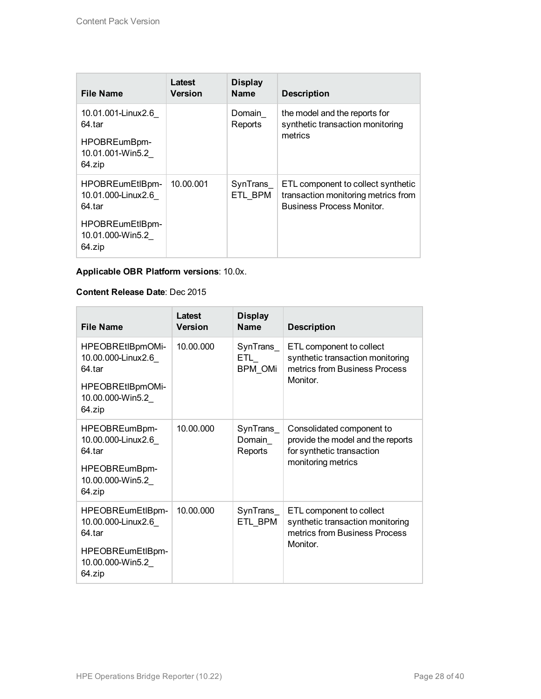| <b>File Name</b>                                                           | Latest<br>Version | <b>Display</b><br><b>Name</b> | <b>Description</b>                                                                                            |
|----------------------------------------------------------------------------|-------------------|-------------------------------|---------------------------------------------------------------------------------------------------------------|
| 10.01.001-Linux2.6<br>64.tar<br>HPOBREumBpm-<br>10.01.001-Win5.2<br>64.zip |                   | Domain<br>Reports             | the model and the reports for<br>synthetic transaction monitoring<br>metrics                                  |
| HPOBREumEtIBpm-<br>10.01.000-Linux2.6<br>64.tar                            | 10.00.001         | SynTrans<br>ETL BPM           | ETL component to collect synthetic<br>transaction monitoring metrics from<br><b>Business Process Monitor.</b> |
| HPOBREumEtIBpm-<br>10.01.000-Win5.2<br>64.zip                              |                   |                               |                                                                                                               |

## **Applicable OBR Platform versions**: 10.0x.

| <b>File Name</b>                                 | Latest<br><b>Version</b> | <b>Display</b><br><b>Name</b> | <b>Description</b>                                                                            |
|--------------------------------------------------|--------------------------|-------------------------------|-----------------------------------------------------------------------------------------------|
| HPEOBREtIBpmOMi-<br>10.00.000-Linux2.6<br>64 tar | 10.00.000                | SynTrans_<br>ETL<br>BPM_OMi   | ETL component to collect<br>synthetic transaction monitoring<br>metrics from Business Process |
| HPEOBREtIBpmOMi-<br>10.00.000-Win5.2<br>64.zip   |                          |                               | Monitor.                                                                                      |
| HPEOBREumBpm-<br>10.00.000-Linux2.6<br>64.tar    | 10.00.000                | SynTrans<br>Domain<br>Reports | Consolidated component to<br>provide the model and the reports<br>for synthetic transaction   |
| HPEOBREumBpm-<br>10.00.000-Win5.2_<br>64.zip     |                          |                               | monitoring metrics                                                                            |
| HPEOBREumEtIBpm-<br>10.00.000-Linux2.6<br>64 tar | 10.00.000                | SynTrans<br>ETL BPM           | ETL component to collect<br>synthetic transaction monitoring<br>metrics from Business Process |
| HPEOBREumEtIBpm-<br>10.00.000-Win5.2<br>64.zip   |                          |                               | Monitor.                                                                                      |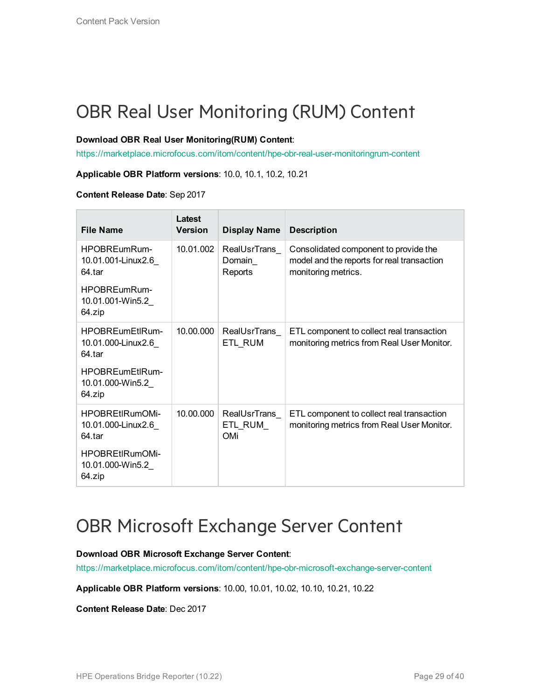## <span id="page-28-0"></span>OBR Real User Monitoring (RUM) Content

## **Download OBR Real User Monitoring(RUM) Content**:

<https://marketplace.microfocus.com/itom/content/hpe-obr-real-user-monitoringrum-content>

**Applicable OBR Platform versions**: 10.0, 10.1, 10.2, 10.21

**Content Release Date**: Sep 2017

| <b>File Name</b>                                | Latest<br><b>Version</b> | <b>Display Name</b>               | <b>Description</b>                                                                                         |
|-------------------------------------------------|--------------------------|-----------------------------------|------------------------------------------------------------------------------------------------------------|
| HPOBREumRum-<br>10.01.001-Linux2.6<br>64.tar    | 10.01.002                | RealUsrTrans<br>Domain<br>Reports | Consolidated component to provide the<br>model and the reports for real transaction<br>monitoring metrics. |
| HPOBREumRum-<br>10.01.001-Win5.2<br>64.zip      |                          |                                   |                                                                                                            |
| HPOBREumEtIRum-<br>10.01.000-Linux2.6<br>64.tar | 10.00.000                | RealUsrTrans<br>ETL_RUM           | ETL component to collect real transaction<br>monitoring metrics from Real User Monitor.                    |
| HPOBREumEtIRum-<br>10.01.000-Win5.2<br>64.zip   |                          |                                   |                                                                                                            |
| HPOBREtIRumOMi-<br>10.01.000-Linux2.6<br>64.tar | 10.00.000                | RealUsrTrans<br>ETL RUM<br>OMi    | ETL component to collect real transaction<br>monitoring metrics from Real User Monitor.                    |
| HPOBREtIRumOMi-<br>10.01.000-Win5.2<br>64.zip   |                          |                                   |                                                                                                            |

## <span id="page-28-1"></span>OBR Microsoft Exchange Server Content

#### **Download OBR Microsoft Exchange Server Content**:

<https://marketplace.microfocus.com/itom/content/hpe-obr-microsoft-exchange-server-content>

**Applicable OBR Platform versions**: 10.00, 10.01, 10.02, 10.10, 10.21, 10.22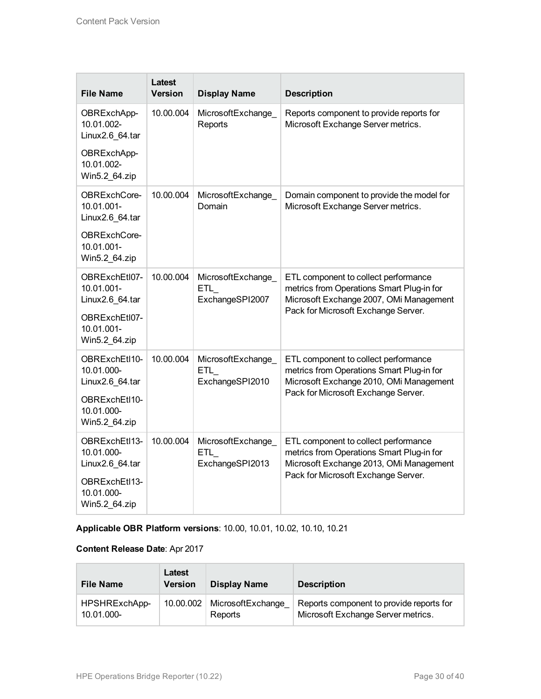| <b>File Name</b>                               | <b>Latest</b><br><b>Version</b> | <b>Display Name</b>                                 | <b>Description</b>                                                                                                           |
|------------------------------------------------|---------------------------------|-----------------------------------------------------|------------------------------------------------------------------------------------------------------------------------------|
| OBRExchApp-<br>10.01.002-<br>Linux2.6_64.tar   | 10.00.004                       | MicrosoftExchange<br>Reports                        | Reports component to provide reports for<br>Microsoft Exchange Server metrics.                                               |
| OBRExchApp-<br>10.01.002-<br>Win5.2 64.zip     |                                 |                                                     |                                                                                                                              |
| OBRExchCore-<br>10.01.001-<br>Linux2.6 64.tar  | 10.00.004                       | MicrosoftExchange<br>Domain                         | Domain component to provide the model for<br>Microsoft Exchange Server metrics.                                              |
| OBRExchCore-<br>10.01.001-<br>Win5.2 64.zip    |                                 |                                                     |                                                                                                                              |
| OBRExchEtI07-<br>10.01.001-<br>Linux2.6 64.tar | 10.00.004                       | MicrosoftExchange<br><b>ETL</b><br>ExchangeSPI2007  | ETL component to collect performance<br>metrics from Operations Smart Plug-in for<br>Microsoft Exchange 2007, OMi Management |
| OBRExchEtI07-<br>10.01.001-<br>Win5.2 64.zip   |                                 |                                                     | Pack for Microsoft Exchange Server.                                                                                          |
| OBRExchEtI10-<br>10.01.000-<br>Linux2.6_64.tar | 10.00.004                       | MicrosoftExchange_<br><b>ETL</b><br>ExchangeSPI2010 | ETL component to collect performance<br>metrics from Operations Smart Plug-in for<br>Microsoft Exchange 2010, OMi Management |
| OBRExchEtI10-<br>10.01.000-<br>Win5.2_64.zip   |                                 |                                                     | Pack for Microsoft Exchange Server.                                                                                          |
| OBRExchEtI13-<br>10.01.000-<br>Linux2.6 64.tar | 10.00.004                       | MicrosoftExchange<br><b>ETL</b><br>ExchangeSPI2013  | ETL component to collect performance<br>metrics from Operations Smart Plug-in for<br>Microsoft Exchange 2013, OMi Management |
| OBRExchEtI13-<br>10.01.000-<br>Win5.2_64.zip   |                                 |                                                     | Pack for Microsoft Exchange Server.                                                                                          |

**Applicable OBR Platform versions**: 10.00, 10.01, 10.02, 10.10, 10.21

## **Content Release Date**: Apr 2017

| <b>File Name</b> | Latest<br><b>Version</b> | Display Name      | <b>Description</b>                       |
|------------------|--------------------------|-------------------|------------------------------------------|
| HPSHRExchApp-    | 10.00.002                | MicrosoftExchange | Reports component to provide reports for |
| 10.01.000-       |                          | Reports           | Microsoft Exchange Server metrics.       |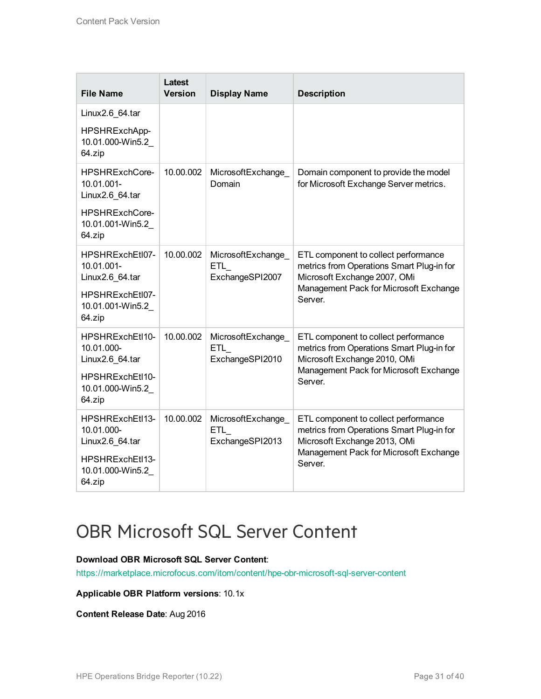| <b>File Name</b>                                 | Latest<br><b>Version</b> | <b>Display Name</b>                                | <b>Description</b>                                                                                                |
|--------------------------------------------------|--------------------------|----------------------------------------------------|-------------------------------------------------------------------------------------------------------------------|
| Linux2.6_64.tar                                  |                          |                                                    |                                                                                                                   |
| HPSHRExchApp-<br>10.01.000-Win5.2<br>64.zip      |                          |                                                    |                                                                                                                   |
| HPSHRExchCore-<br>10.01.001-<br>Linux2.6 64.tar  | 10.00.002                | MicrosoftExchange<br>Domain                        | Domain component to provide the model<br>for Microsoft Exchange Server metrics.                                   |
| HPSHRExchCore-<br>10.01.001-Win5.2<br>64.zip     |                          |                                                    |                                                                                                                   |
| HPSHRExchEtI07-<br>10.01.001-<br>Linux2.6_64.tar | 10.00.002                | MicrosoftExchange<br>ETL<br>ExchangeSPI2007        | ETL component to collect performance<br>metrics from Operations Smart Plug-in for<br>Microsoft Exchange 2007, OMi |
| HPSHRExchEtI07-<br>10.01.001-Win5.2<br>64.zip    |                          |                                                    | Management Pack for Microsoft Exchange<br>Server.                                                                 |
| HPSHRExchEtI10-<br>10.01.000-<br>Linux2.6 64.tar | 10.00.002                | MicrosoftExchange<br><b>ETL</b><br>ExchangeSPI2010 | ETL component to collect performance<br>metrics from Operations Smart Plug-in for<br>Microsoft Exchange 2010, OMi |
| HPSHRExchEtI10-<br>10.01.000-Win5.2<br>64.zip    |                          |                                                    | Management Pack for Microsoft Exchange<br>Server.                                                                 |
| HPSHRExchEtI13-<br>10.01.000-<br>Linux2.6_64.tar | 10.00.002                | MicrosoftExchange<br><b>ETL</b><br>ExchangeSPI2013 | ETL component to collect performance<br>metrics from Operations Smart Plug-in for<br>Microsoft Exchange 2013, OMi |
| HPSHRExchEtl13-<br>10.01.000-Win5.2<br>64.zip    |                          |                                                    | Management Pack for Microsoft Exchange<br>Server.                                                                 |

## <span id="page-30-0"></span>OBR Microsoft SQL Server Content

## **Download OBR Microsoft SQL Server Content**:

<https://marketplace.microfocus.com/itom/content/hpe-obr-microsoft-sql-server-content>

## **Applicable OBR Platform versions**: 10.1x

**Content Release Date**: Aug 2016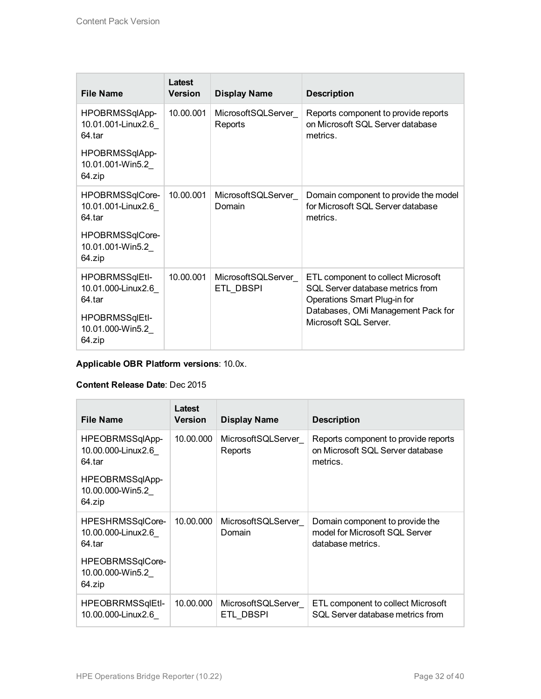| <b>File Name</b>                                | Latest<br><b>Version</b> | <b>Display Name</b>             | <b>Description</b>                                                                                     |  |
|-------------------------------------------------|--------------------------|---------------------------------|--------------------------------------------------------------------------------------------------------|--|
| HPOBRMSSqlApp-<br>10.01.001-Linux2.6<br>64 tar  | 10.00.001                | MicrosoftSQLServer<br>Reports   | Reports component to provide reports<br>on Microsoft SQL Server database<br>metrics.                   |  |
| HPOBRMSSqlApp-<br>10.01.001-Win5.2<br>64.zip    |                          |                                 |                                                                                                        |  |
| HPOBRMSSqlCore-<br>10.01.001-Linux2.6<br>64.tar | 10.00.001                | MicrosoftSQLServer_<br>Domain   | Domain component to provide the model<br>for Microsoft SQL Server database<br>metrics.                 |  |
| HPOBRMSSqlCore-<br>10.01.001-Win5.2<br>64.zip   |                          |                                 |                                                                                                        |  |
| HPOBRMSSqlEtl-<br>10.01.000-Linux2.6<br>64.tar  | 10.00.001                | MicrosoftSQLServer<br>ETL DBSPI | ETL component to collect Microsoft<br>SQL Server database metrics from<br>Operations Smart Plug-in for |  |
| HPOBRMSSqlEtI-<br>10.01.000-Win5.2<br>64.zip    |                          |                                 | Databases, OMi Management Pack for<br>Microsoft SQL Server.                                            |  |

## **Applicable OBR Platform versions**: 10.0x.

| <b>File Name</b>                                 | Latest<br><b>Version</b> | <b>Display Name</b>             | <b>Description</b>                                                                     |
|--------------------------------------------------|--------------------------|---------------------------------|----------------------------------------------------------------------------------------|
| HPEOBRMSSqlApp-<br>10.00.000-Linux2.6<br>64.tar  | 10.00.000                | MicrosoftSQLServer<br>Reports   | Reports component to provide reports<br>on Microsoft SQL Server database<br>metrics.   |
| HPEOBRMSSqlApp-<br>10.00.000-Win5.2<br>64.zip    |                          |                                 |                                                                                        |
| HPESHRMSSqlCore-<br>10.00.000-Linux2.6<br>64.tar | 10.00.000                | MicrosoftSQLServer<br>Domain    | Domain component to provide the<br>model for Microsoft SQL Server<br>database metrics. |
| HPEOBRMSSqlCore-<br>10.00.000-Win5.2<br>64.zip   |                          |                                 |                                                                                        |
| <b>HPEOBRRMSSqlEtl-</b><br>10.00.000-Linux2.6    | 10.00.000                | MicrosoftSQLServer<br>ETL DBSPI | ETL component to collect Microsoft<br>SQL Server database metrics from                 |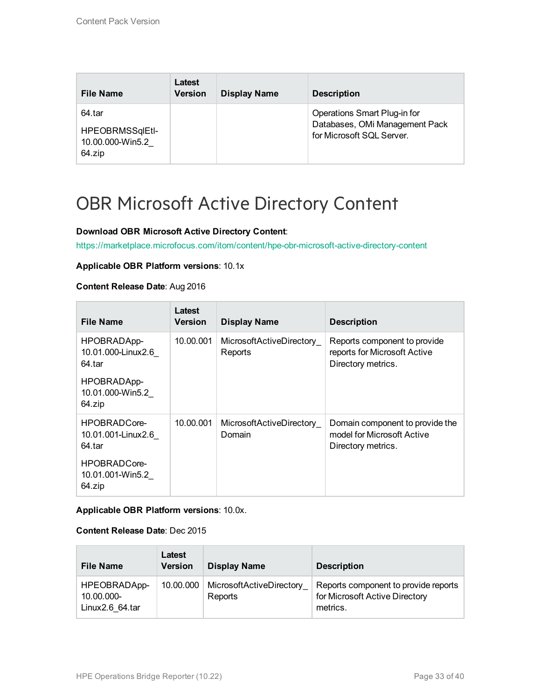| <b>File Name</b>                                        | Latest<br><b>Version</b> | <b>Display Name</b> | <b>Description</b>                                                                          |
|---------------------------------------------------------|--------------------------|---------------------|---------------------------------------------------------------------------------------------|
| 64.tar<br>HPEOBRMSSqlEtl-<br>10.00.000-Win5.2<br>64.zip |                          |                     | Operations Smart Plug-in for<br>Databases, OMi Management Pack<br>for Microsoft SQL Server. |

## <span id="page-32-0"></span>OBR Microsoft Active Directory Content

## **Download OBR Microsoft Active Directory Content**:

<https://marketplace.microfocus.com/itom/content/hpe-obr-microsoft-active-directory-content>

#### **Applicable OBR Platform versions**: 10.1x

### **Content Release Date**: Aug 2016

| File Name                                    | Latest<br><b>Version</b> | <b>Display Name</b>                 | <b>Description</b>                                                                  |
|----------------------------------------------|--------------------------|-------------------------------------|-------------------------------------------------------------------------------------|
| HPOBRADApp-<br>10.01.000-Linux2.6<br>64.tar  | 10.00.001                | MicrosoftActiveDirectory<br>Reports | Reports component to provide<br>reports for Microsoft Active<br>Directory metrics.  |
| HPOBRADApp-<br>10.01.000-Win5.2<br>64.zip    |                          |                                     |                                                                                     |
| HPOBRADCore-<br>10.01.001-Linux2.6<br>64.tar | 10.00.001                | MicrosoftActiveDirectory<br>Domain  | Domain component to provide the<br>model for Microsoft Active<br>Directory metrics. |
| HPOBRADCore-<br>10.01.001-Win5.2<br>64.zip   |                          |                                     |                                                                                     |

**Applicable OBR Platform versions**: 10.0x.

| <b>File Name</b>                              | <b>Latest</b><br><b>Version</b> | <b>Display Name</b>                 | <b>Description</b>                                                                 |
|-----------------------------------------------|---------------------------------|-------------------------------------|------------------------------------------------------------------------------------|
| HPEOBRADApp-<br>10.00.000-<br>Linux2.6 64.tar | 10.00.000                       | MicrosoftActiveDirectory<br>Reports | Reports component to provide reports<br>for Microsoft Active Directory<br>metrics. |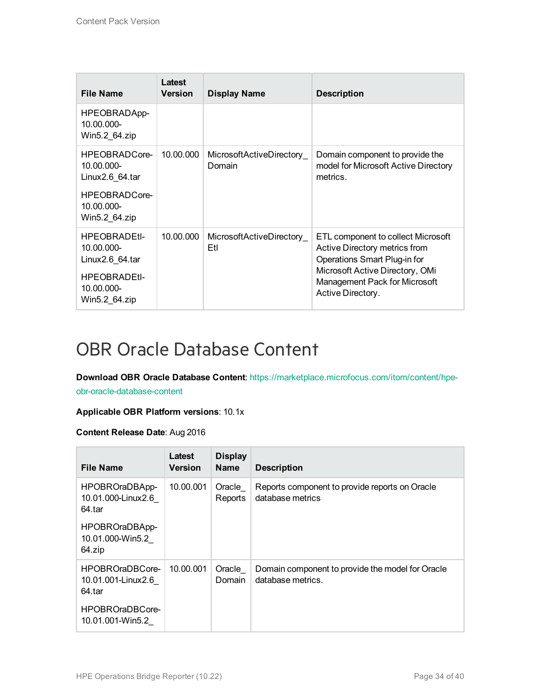| <b>File Name</b>                               | Latest<br><b>Version</b> | <b>Display Name</b>                | <b>Description</b>                                                                                  |
|------------------------------------------------|--------------------------|------------------------------------|-----------------------------------------------------------------------------------------------------|
| HPEOBRADApp-<br>10.00.000-<br>Win5.2 64.zip    |                          |                                    |                                                                                                     |
| HPEOBRADCore-<br>10.00.000-<br>Linux2.6 64.tar | 10.00.000                | MicrosoftActiveDirectory<br>Domain | Domain component to provide the<br>model for Microsoft Active Directory<br>metrics.                 |
| HPEOBRADCore-<br>10.00.000-<br>Win5.2 64.zip   |                          |                                    |                                                                                                     |
| HPEOBRADEtI-<br>10.00.000-<br>Linux2.6 64.tar  | 10.00.000                | MicrosoftActiveDirectory<br>Etl    | ETL component to collect Microsoft<br>Active Directory metrics from<br>Operations Smart Plug-in for |
| HPEOBRADEtI-<br>10.00.000-<br>Win5.2 64.zip    |                          |                                    | Microsoft Active Directory, OMi<br>Management Pack for Microsoft<br>Active Directory.               |

## <span id="page-33-0"></span>OBR Oracle Database Content

**Download OBR Oracle Database Content**: [https://marketplace.microfocus.com/itom/content/hpe](https://marketplace.microfocus.com/itom/content/hpe-obr-oracle-database-content)[obr-oracle-database-content](https://marketplace.microfocus.com/itom/content/hpe-obr-oracle-database-content)

## **Applicable OBR Platform versions**: 10.1x

## **Content Release Date**: Aug 2016

| <b>File Name</b>                                | Latest<br><b>Version</b> | <b>Display</b><br><b>Name</b> | <b>Description</b>                                                    |
|-------------------------------------------------|--------------------------|-------------------------------|-----------------------------------------------------------------------|
| HPOBROraDBApp-<br>10.01.000-Linux2.6<br>64.tar  | 10.00.001                | Oracle<br>Reports             | Reports component to provide reports on Oracle<br>database metrics    |
| HPOBROraDBApp-<br>10.01.000-Win5.2<br>64.zip    |                          |                               |                                                                       |
| HPOBROraDBCore-<br>10.01.001-Linux2.6<br>64.tar | 10.00.001                | Oracle<br>Domain              | Domain component to provide the model for Oracle<br>database metrics. |
| HPOBROraDBCore-<br>10.01.001-Win5.2             |                          |                               |                                                                       |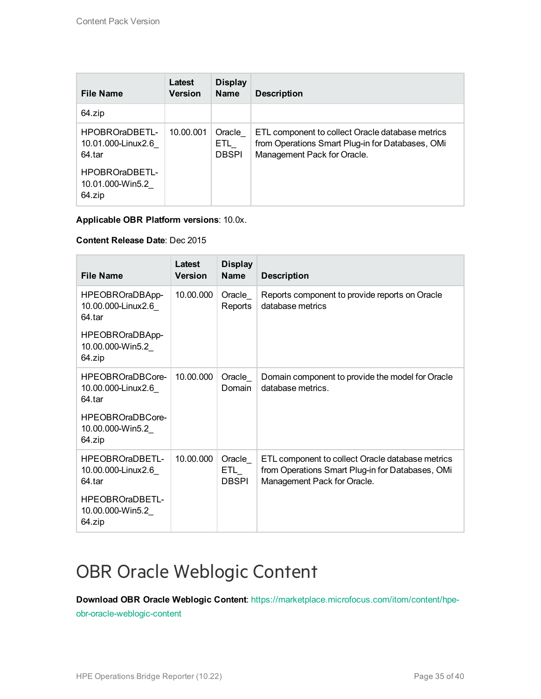| <b>File Name</b>                               | Latest<br><b>Version</b> | <b>Display</b><br><b>Name</b>   | <b>Description</b>                                                                                                                  |
|------------------------------------------------|--------------------------|---------------------------------|-------------------------------------------------------------------------------------------------------------------------------------|
| 64.zip                                         |                          |                                 |                                                                                                                                     |
| HPOBROraDBETL-<br>10.01.000-Linux2.6<br>64.tar | 10.00.001                | Oracle<br>ETL -<br><b>DBSPI</b> | ETL component to collect Oracle database metrics<br>from Operations Smart Plug-in for Databases, OMi<br>Management Pack for Oracle. |
| HPOBROraDBETL-<br>10.01.000-Win5.2<br>64.zip   |                          |                                 |                                                                                                                                     |

### **Applicable OBR Platform versions**: 10.0x.

#### **Content Release Date**: Dec 2015

| <b>File Name</b>                                 | Latest<br><b>Version</b> | <b>Display</b><br><b>Name</b> | <b>Description</b>                                                                                                                  |
|--------------------------------------------------|--------------------------|-------------------------------|-------------------------------------------------------------------------------------------------------------------------------------|
| HPEOBROraDBApp-<br>10.00.000-Linux2.6<br>64.tar  | 10.00.000                | Oracle<br>Reports             | Reports component to provide reports on Oracle<br>database metrics                                                                  |
| HPEOBROraDBApp-<br>10.00.000-Win5.2_<br>64.zip   |                          |                               |                                                                                                                                     |
| HPEOBROraDBCore-<br>10.00.000-Linux2.6<br>64.tar | 10.00.000                | Oracle<br>Domain              | Domain component to provide the model for Oracle<br>database metrics.                                                               |
| HPEOBROraDBCore-<br>10.00.000-Win5.2<br>64.zip   |                          |                               |                                                                                                                                     |
| HPEOBROraDBETL-<br>10.00.000-Linux2.6<br>64.tar  | 10.00.000                | Oracle<br>ETL<br><b>DBSPI</b> | ETL component to collect Oracle database metrics<br>from Operations Smart Plug-in for Databases, OMi<br>Management Pack for Oracle. |
| HPEOBROraDBETL-<br>10.00.000-Win5.2<br>64.zip    |                          |                               |                                                                                                                                     |

## <span id="page-34-0"></span>OBR Oracle Weblogic Content

**Download OBR Oracle Weblogic Content**: [https://marketplace.microfocus.com/itom/content/hpe](https://marketplace.microfocus.com/itom/content/hpe-obr-oracle-weblogic-content)[obr-oracle-weblogic-content](https://marketplace.microfocus.com/itom/content/hpe-obr-oracle-weblogic-content)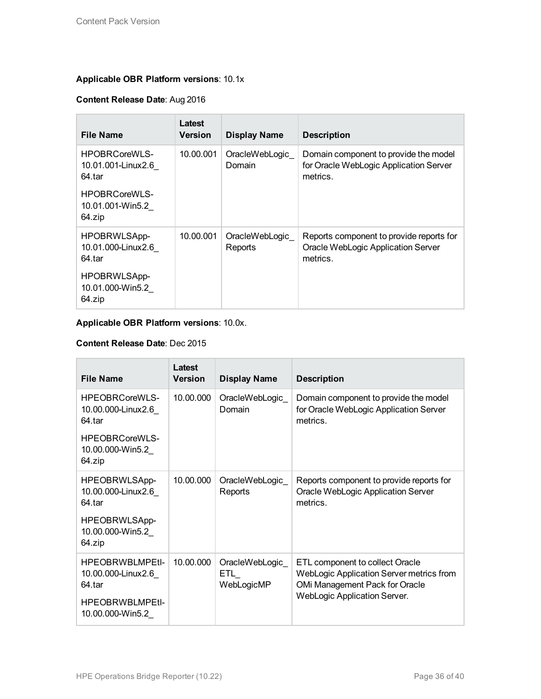## **Applicable OBR Platform versions**: 10.1x

## **Content Release Date**: Aug 2016

| <b>File Name</b>                              | Latest<br><b>Version</b> | <b>Display Name</b>       | <b>Description</b>                                                                          |
|-----------------------------------------------|--------------------------|---------------------------|---------------------------------------------------------------------------------------------|
| HPOBRCoreWLS-<br>10.01.001-Linux2.6<br>64.tar | 10.00.001                | OracleWebLogic<br>Domain  | Domain component to provide the model<br>for Oracle WebLogic Application Server<br>metrics. |
| HPOBRCoreWLS-<br>10.01.001-Win5.2<br>64.zip   |                          |                           |                                                                                             |
| HPOBRWLSApp-<br>10.01.000-Linux2.6<br>64.tar  | 10.00.001                | OracleWebLogic<br>Reports | Reports component to provide reports for<br>Oracle WebLogic Application Server<br>metrics.  |
| HPOBRWLSApp-<br>10.01.000-Win5.2<br>64.zip    |                          |                           |                                                                                             |

## **Applicable OBR Platform versions**: 10.0x.

| <b>File Name</b>                                    | Latest<br><b>Version</b> | <b>Display Name</b>                  | <b>Description</b>                                                                                                                                   |
|-----------------------------------------------------|--------------------------|--------------------------------------|------------------------------------------------------------------------------------------------------------------------------------------------------|
| HPEOBRCoreWLS-<br>10.00.000-Linux2.6<br>64.tar      | 10.00.000                | OracleWebLogic_<br>Domain            | Domain component to provide the model<br>for Oracle WebLogic Application Server<br>metrics.                                                          |
| <b>HPEOBRCoreWLS-</b><br>10.00.000-Win5.2<br>64.zip |                          |                                      |                                                                                                                                                      |
| HPEOBRWLSApp-<br>10.00.000-Linux2.6_<br>64.tar      | 10.00.000                | OracleWebLogic<br>Reports            | Reports component to provide reports for<br>Oracle WebLogic Application Server<br>metrics.                                                           |
| HPEOBRWLSApp-<br>10.00.000-Win5.2<br>64.zip         |                          |                                      |                                                                                                                                                      |
| HPFOBRWBLMPEtI-<br>10.00.000-Linux2.6<br>64.tar     | 10.00.000                | OracleWebLogic_<br>ETL<br>WebLogicMP | ETL component to collect Oracle<br>WebLogic Application Server metrics from<br>OMi Management Pack for Oracle<br><b>WebLogic Application Server.</b> |
| <b>HPEOBRWBLMPEtI-</b><br>10.00.000-Win5.2          |                          |                                      |                                                                                                                                                      |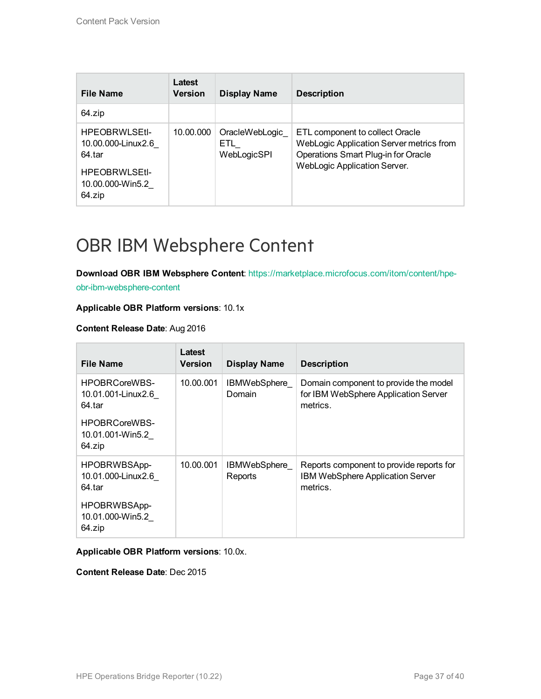| <b>File Name</b>                                                                                           | Latest<br><b>Version</b> | <b>Display Name</b>                   | <b>Description</b>                                                                                                                                 |
|------------------------------------------------------------------------------------------------------------|--------------------------|---------------------------------------|----------------------------------------------------------------------------------------------------------------------------------------------------|
| 64.zip                                                                                                     |                          |                                       |                                                                                                                                                    |
| <b>HPEOBRWLSEtI-</b><br>10.00.000-Linux2.6<br>64.tar<br><b>HPEOBRWLSEtI-</b><br>10.00.000-Win5.2<br>64.zip | 10.00.000                | OracleWebLogic<br>ETL.<br>WebLogicSPI | ETL component to collect Oracle<br>WebLogic Application Server metrics from<br>Operations Smart Plug-in for Oracle<br>WebLogic Application Server. |

## <span id="page-36-0"></span>OBR IBM Websphere Content

**Download OBR IBM Websphere Content**: [https://marketplace.microfocus.com/itom/content/hpe-](https://marketplace.microfocus.com/itom/content/hpe-obr-ibm-websphere-content)

[obr-ibm-websphere-content](https://marketplace.microfocus.com/itom/content/hpe-obr-ibm-websphere-content)

## **Applicable OBR Platform versions**: 10.1x

#### **Content Release Date**: Aug 2016

| <b>File Name</b>                              | Latest<br>Version | <b>Display Name</b>            | <b>Description</b>                                                                              |
|-----------------------------------------------|-------------------|--------------------------------|-------------------------------------------------------------------------------------------------|
| HPOBRCoreWBS-<br>10.01.001-Linux2.6<br>64 tar | 10.00.001         | <b>IBMWebSphere</b><br>Domain  | Domain component to provide the model<br>for IBM WebSphere Application Server<br>metrics.       |
| HPOBRCoreWBS-<br>10.01.001-Win5.2<br>64.zip   |                   |                                |                                                                                                 |
| HPOBRWBSApp-<br>10.01.000-Linux2.6<br>64 tar  | 10.00.001         | <b>IBMWebSphere</b><br>Reports | Reports component to provide reports for<br><b>IBM WebSphere Application Server</b><br>metrics. |
| HPOBRWBSApp-<br>10.01.000-Win5.2<br>64.zip    |                   |                                |                                                                                                 |

**Applicable OBR Platform versions**: 10.0x.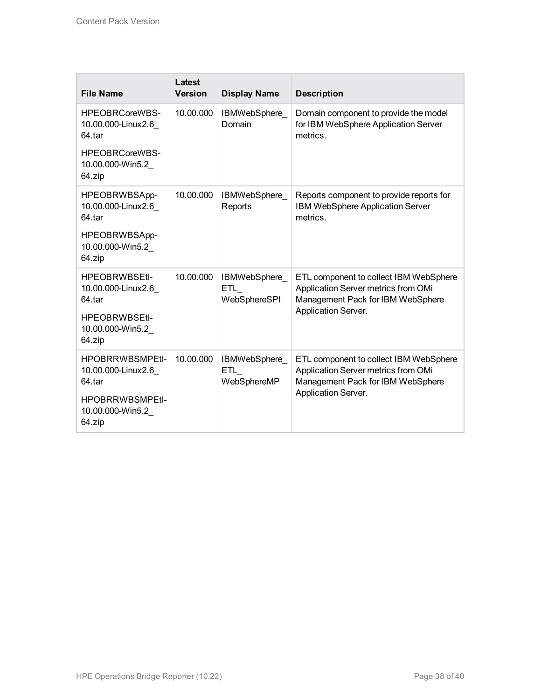| <b>File Name</b>                                                                                           | Latest<br><b>Version</b> | <b>Display Name</b>                         | <b>Description</b>                                                                                                                        |
|------------------------------------------------------------------------------------------------------------|--------------------------|---------------------------------------------|-------------------------------------------------------------------------------------------------------------------------------------------|
| HPEOBRCoreWBS-<br>10.00.000-Linux2.6<br>64.tar                                                             | 10.00.000                | <b>IBMWebSphere</b><br>Domain               | Domain component to provide the model<br>for IBM WebSphere Application Server<br>metrics.                                                 |
| HPEOBRCoreWBS-<br>10.00.000-Win5.2<br>64.zip                                                               |                          |                                             |                                                                                                                                           |
| HPEOBRWBSApp-<br>10.00.000-Linux2.6<br>64.tar                                                              | 10.00.000                | <b>IBMWebSphere</b><br>Reports              | Reports component to provide reports for<br>IBM WebSphere Application Server<br>metrics.                                                  |
| HPEOBRWBSApp-<br>10.00.000-Win5.2<br>64.zip                                                                |                          |                                             |                                                                                                                                           |
| <b>HPEOBRWBSEtI-</b><br>10.00.000-Linux2.6<br>64.tar<br><b>HPEOBRWBSEtI-</b><br>10.00.000-Win5.2<br>64.zip | 10.00.000                | IBMWebSphere_<br><b>ETL</b><br>WebSphereSPI | ETL component to collect IBM WebSphere<br>Application Server metrics from OMi<br>Management Pack for IBM WebSphere<br>Application Server. |
| HPOBRRWBSMPEtI-<br>10.00.000-Linux2.6<br>64.tar<br><b>HPOBRRWBSMPEtI-</b><br>10.00.000-Win5.2<br>64.zip    | 10.00.000                | IBMWebSphere_<br><b>ETL</b><br>WebSphereMP  | ETL component to collect IBM WebSphere<br>Application Server metrics from OMi<br>Management Pack for IBM WebSphere<br>Application Server. |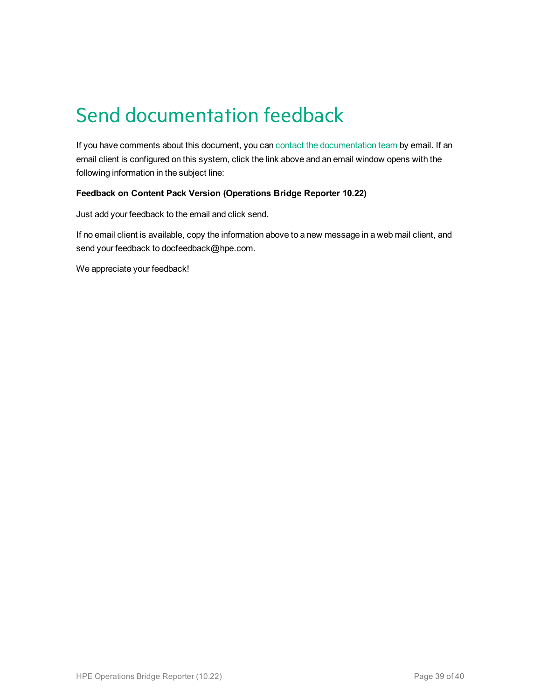## <span id="page-38-0"></span>Send documentation feedback

If you have comments about this document, you can contact the [documentation](mailto:docfeedback@hpe.com?subject=Feedback on Content Pack Version (Operations Bridge Reporter 10.22)) team by email. If an email client is configured on this system, click the link above and an email window opens with the following information in the subject line:

#### **Feedback on Content Pack Version (Operations Bridge Reporter 10.22)**

Just add your feedback to the email and click send.

If no email client is available, copy the information above to a new message in a web mail client, and send your feedback to docfeedback@hpe.com.

We appreciate your feedback!